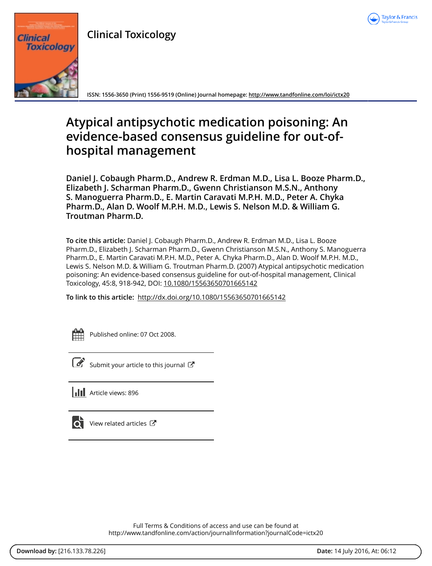

## **Clinical Toxicology**



**ISSN: 1556-3650 (Print) 1556-9519 (Online) Journal homepage:<http://www.tandfonline.com/loi/ictx20>**

# **Atypical antipsychotic medication poisoning: An evidence-based consensus guideline for out-ofhospital management**

**Daniel J. Cobaugh Pharm.D., Andrew R. Erdman M.D., Lisa L. Booze Pharm.D., Elizabeth J. Scharman Pharm.D., Gwenn Christianson M.S.N., Anthony S. Manoguerra Pharm.D., E. Martin Caravati M.P.H. M.D., Peter A. Chyka Pharm.D., Alan D. Woolf M.P.H. M.D., Lewis S. Nelson M.D. & William G. Troutman Pharm.D.**

**To cite this article:** Daniel J. Cobaugh Pharm.D., Andrew R. Erdman M.D., Lisa L. Booze Pharm.D., Elizabeth J. Scharman Pharm.D., Gwenn Christianson M.S.N., Anthony S. Manoguerra Pharm.D., E. Martin Caravati M.P.H. M.D., Peter A. Chyka Pharm.D., Alan D. Woolf M.P.H. M.D., Lewis S. Nelson M.D. & William G. Troutman Pharm.D. (2007) Atypical antipsychotic medication poisoning: An evidence-based consensus guideline for out-of-hospital management, Clinical Toxicology, 45:8, 918-942, DOI: [10.1080/15563650701665142](http://www.tandfonline.com/action/showCitFormats?doi=10.1080/15563650701665142)

**To link to this article:** <http://dx.doi.org/10.1080/15563650701665142>

Published online: 07 Oct 2008.



 $\overline{\mathcal{G}}$  [Submit your article to this journal](http://www.tandfonline.com/action/authorSubmission?journalCode=ictx20&page=instructions)  $\overline{\mathcal{G}}$ 

**III** Article views: 896



 $\bullet$  [View related articles](http://www.tandfonline.com/doi/mlt/10.1080/15563650701665142)  $\bullet$ 

Full Terms & Conditions of access and use can be found at <http://www.tandfonline.com/action/journalInformation?journalCode=ictx20>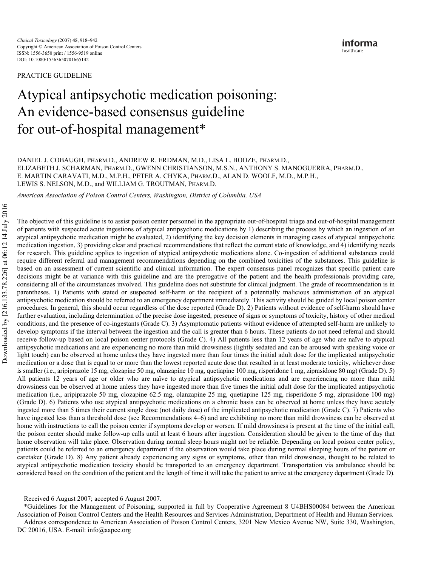PRACTICE GUIDELINE

informa healthcare

# Atypical antipsychotic medication poisoning: An evidence-based consensus guideline for out-of-hospital management\*

**Out-of-Hospital Management of Atypical Antipsychotic Poisoning** DANIEL J. COBAUGH, PHARM.D., ANDREW R. ERDMAN, M.D., LISA L. BOOZE, PHARM.D., ELIZABETH J. SCHARMAN, PHARM.D., GWENN CHRISTIANSON, M.S.N., ANTHONY S. MANOGUERRA, PHARM.D., E. MARTIN CARAVATI, M.D., M.P.H., PETER A. CHYKA, PHARM.D., ALAN D. WOOLF, M.D., M.P.H., LEWIS S. NELSON, M.D., and WILLIAM G. TROUTMAN, PHARM.D.

*American Association of Poison Control Centers, Washington, District of Columbia, USA*

The objective of this guideline is to assist poison center personnel in the appropriate out-of-hospital triage and out-of-hospital management of patients with suspected acute ingestions of atypical antipsychotic medications by 1) describing the process by which an ingestion of an atypical antipsychotic medication might be evaluated, 2) identifying the key decision elements in managing cases of atypical antipsychotic medication ingestion, 3) providing clear and practical recommendations that reflect the current state of knowledge, and 4) identifying needs for research. This guideline applies to ingestion of atypical antipsychotic medications alone. Co-ingestion of additional substances could require different referral and management recommendations depending on the combined toxicities of the substances. This guideline is based on an assessment of current scientific and clinical information. The expert consensus panel recognizes that specific patient care decisions might be at variance with this guideline and are the prerogative of the patient and the health professionals providing care, considering all of the circumstances involved. This guideline does not substitute for clinical judgment. The grade of recommendation is in parentheses. 1) Patients with stated or suspected self-harm or the recipient of a potentially malicious administration of an atypical antipsychotic medication should be referred to an emergency department immediately. This activity should be guided by local poison center procedures. In general, this should occur regardless of the dose reported (Grade D). 2) Patients without evidence of self-harm should have further evaluation, including determination of the precise dose ingested, presence of signs or symptoms of toxicity, history of other medical conditions, and the presence of co-ingestants (Grade C). 3) Asymptomatic patients without evidence of attempted self-harm are unlikely to develop symptoms if the interval between the ingestion and the call is greater than 6 hours. These patients do not need referral and should receive follow-up based on local poison center protocols (Grade C). 4) All patients less than 12 years of age who are naïve to atypical antipsychotic medications and are experiencing no more than mild drowsiness (lightly sedated and can be aroused with speaking voice or light touch) can be observed at home unless they have ingested more than four times the initial adult dose for the implicated antipsychotic medication or a dose that is equal to or more than the lowest reported acute dose that resulted in at least moderate toxicity, whichever dose is smaller (i.e., aripiprazole 15 mg, clozapine 50 mg, olanzapine 10 mg, quetiapine 100 mg, risperidone 1 mg, ziprasidone 80 mg) (Grade D). 5) All patients 12 years of age or older who are naïve to atypical antipsychotic medications and are experiencing no more than mild drowsiness can be observed at home unless they have ingested more than five times the initial adult dose for the implicated antipsychotic medication (i.e., aripiprazole 50 mg, clozapine 62.5 mg, olanzapine 25 mg, quetiapine 125 mg, risperidone 5 mg, ziprasidone 100 mg) (Grade D). 6) Patients who use atypical antipsychotic medications on a chronic basis can be observed at home unless they have acutely ingested more than 5 times their current single dose (not daily dose) of the implicated antipsychotic medication (Grade C). 7) Patients who have ingested less than a threshold dose (see Recommendations 4–6) and are exhibiting no more than mild drowsiness can be observed at home with instructions to call the poison center if symptoms develop or worsen. If mild drowsiness is present at the time of the initial call, the poison center should make follow-up calls until at least 6 hours after ingestion. Consideration should be given to the time of day that home observation will take place. Observation during normal sleep hours might not be reliable. Depending on local poison center policy, patients could be referred to an emergency department if the observation would take place during normal sleeping hours of the patient or caretaker (Grade D). 8) Any patient already experiencing any signs or symptoms, other than mild drowsiness, thought to be related to atypical antipsychotic medication toxicity should be transported to an emergency department. Transportation via ambulance should be considered based on the condition of the patient and the length of time it will take the patient to arrive at the emergency department (Grade D).

Received 6 August 2007; accepted 6 August 2007.

<sup>\*</sup>Guidelines for the Management of Poisoning, supported in full by Cooperative Agreement 8 U4BHS00084 between the American Association of Poison Control Centers and the Health Resources and Services Administration, Department of Health and Human Services. Address correspondence to American Association of Poison Control Centers, 3201 New Mexico Avenue NW, Suite 330, Washington, DC 20016, USA. E-mail: info@aapcc.org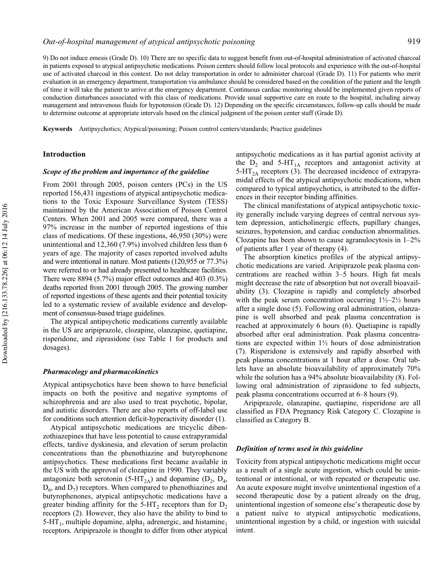9) Do not induce emesis (Grade D). 10) There are no specific data to suggest benefit from out-of-hospital administration of activated charcoal in patients exposed to atypical antipsychotic medications. Poison centers should follow local protocols and experience with the out-of-hospital use of activated charcoal in this context. Do not delay transportation in order to administer charcoal (Grade D). 11) For patients who merit evaluation in an emergency department, transportation via ambulance should be considered based on the condition of the patient and the length of time it will take the patient to arrive at the emergency department. Continuous cardiac monitoring should be implemented given reports of conduction disturbances associated with this class of medications. Provide usual supportive care en route to the hospital, including airway management and intravenous fluids for hypotension (Grade D). 12) Depending on the specific circumstances, follow-up calls should be made to determine outcome at appropriate intervals based on the clinical judgment of the poison center staff (Grade D).

**Keywords** Antipsychotics; Atypical/poisoning; Poison control centers/standards; Practice guidelines

#### **Introduction**

#### *Scope of the problem and importance of the guideline*

From 2001 through 2005, poison centers (PCs) in the US reported 156,431 ingestions of atypical antipsychotic medications to the Toxic Exposure Surveillance System (TESS) maintained by the American Association of Poison Control Centers. When 2001 and 2005 were compared, there was a 97% increase in the number of reported ingestions of this class of medications. Of these ingestions, 46,950 (30%) were unintentional and 12,360 (7.9%) involved children less than 6 years of age. The majority of cases reported involved adults and were intentional in nature. Most patients (120,955 or 77.3%) were referred to or had already presented to healthcare facilities. There were 8894 (5.7%) major effect outcomes and 403 (0.3%) deaths reported from 2001 through 2005. The growing number of reported ingestions of these agents and their potential toxicity led to a systematic review of available evidence and development of consensus-based triage guidelines.

The atypical antipsychotic medications currently available in the US are aripiprazole, clozapine, olanzapine, quetiapine, risperidone, and ziprasidone (see Table 1 for products and dosages).

#### *Pharmacology and pharmacokinetics*

Atypical antipsychotics have been shown to have beneficial impacts on both the positive and negative symptoms of schizophrenia and are also used to treat psychotic, bipolar, and autistic disorders. There are also reports of off-label use for conditions such attention deficit-hyperactivity disorder (1).

Atypical antipsychotic medications are tricyclic dibenzothiazepines that have less potential to cause extrapyramidal effects, tardive dyskinesia, and elevation of serum prolactin concentrations than the phenothiazine and butyrophenone antipsychotics. These medications first became available in the US with the approval of clozapine in 1990. They variably antagonize both serotonin (5-HT<sub>2A</sub>) and dopamine ( $D_2$ ,  $D_4$ ,  $D_6$ , and  $D_7$ ) receptors. When compared to phenothiazines and butyrophenones, atypical antipsychotic medications have a greater binding affinity for the  $5-HT_2$  receptors than for  $D_2$ receptors (2). However, they also have the ability to bind to  $5$ -HT<sub>1</sub>, multiple dopamine, alpha<sub>1</sub> adrenergic, and histamine<sub>1</sub> receptors. Aripiprazole is thought to differ from other atypical antipsychotic medications as it has partial agonist activity at the  $D_2$  and 5-HT<sub>1A</sub> receptors and antagonist activity at  $5-\text{HT}_{2A}$  receptors (3). The decreased incidence of extrapyramidal effects of the atypical antipsychotic medications, when compared to typical antipsychotics, is attributed to the differences in their receptor binding affinities.

The clinical manifestations of atypical antipsychotic toxicity generally include varying degrees of central nervous system depression, anticholinergic effects, pupillary changes, seizures, hypotension, and cardiac conduction abnormalities. Clozapine has been shown to cause agranulocytosis in  $1-2\%$ of patients after 1 year of therapy (4).

The absorption kinetics profiles of the atypical antipsychotic medications are varied. Aripiprazole peak plasma concentrations are reached within 3–5 hours. High fat meals might decrease the rate of absorption but not overall bioavailability (3). Clozapine is rapidly and completely absorbed with the peak serum concentration occurring  $1\frac{1}{2}$ –2<sup>1</sup>/<sub>2</sub> hours after a single dose (5). Following oral administration, olanzapine is well absorbed and peak plasma concentration is reached at approximately 6 hours (6). Quetiapine is rapidly absorbed after oral administration. Peak plasma concentrations are expected within 1½ hours of dose administration (7). Risperidone is extensively and rapidly absorbed with peak plasma concentrations at 1 hour after a dose. Oral tablets have an absolute bioavailability of approximately 70% while the solution has a 94% absolute bioavailability (8). Following oral administration of ziprasidone to fed subjects, peak plasma concentrations occurred at 6–8 hours (9).

Aripiprazole, olanzapine, quetiapine, risperidone are all classified as FDA Pregnancy Risk Category C. Clozapine is classified as Category B.

#### *Definition of terms used in this guideline*

Toxicity from atypical antipsychotic medications might occur as a result of a single acute ingestion, which could be unintentional or intentional, or with repeated or therapeutic use. An acute exposure might involve unintentional ingestion of a second therapeutic dose by a patient already on the drug, unintentional ingestion of someone else's therapeutic dose by a patient naïve to atypical antipsychotic medications, unintentional ingestion by a child, or ingestion with suicidal intent.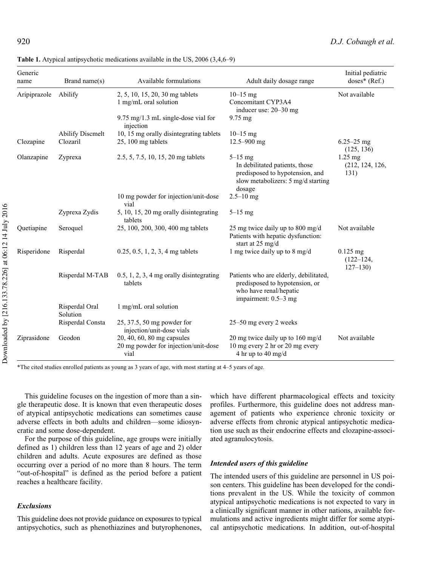| Generic<br>name | Brand name $(s)$           | Available formulations                                                     | Adult daily dosage range                                                                                                       | Initial pediatric<br>$doses^*$ (Ref.)      |
|-----------------|----------------------------|----------------------------------------------------------------------------|--------------------------------------------------------------------------------------------------------------------------------|--------------------------------------------|
| Aripiprazole    | Abilify                    | 2, 5, 10, 15, 20, 30 mg tablets                                            | $10 - 15$ mg                                                                                                                   | Not available                              |
|                 |                            | 1 mg/mL oral solution                                                      | Concomitant CYP3A4<br>inducer use: 20–30 mg                                                                                    |                                            |
|                 |                            | 9.75 mg/1.3 mL single-dose vial for<br>injection                           | $9.75 \text{ mg}$                                                                                                              |                                            |
|                 | <b>Abilify Discmelt</b>    | 10, 15 mg orally disintegrating tablets                                    | $10 - 15$ mg                                                                                                                   |                                            |
| Clozapine       | Clozaril                   | 25, 100 mg tablets                                                         | $12.5 - 900$ mg                                                                                                                | $6.25 - 25$ mg<br>(125, 136)               |
| Olanzapine      | Zyprexa                    | 2.5, 5, 7.5, 10, 15, 20 mg tablets                                         | $5-15$ mg<br>In debilitated patients, those<br>predisposed to hypotension, and<br>slow metabolizers: 5 mg/d starting<br>dosage | $1.25$ mg<br>(212, 124, 126,<br>131)       |
|                 |                            | 10 mg powder for injection/unit-dose<br>vial                               | $2.5 - 10$ mg                                                                                                                  |                                            |
|                 | Zyprexa Zydis              | 5, 10, 15, 20 mg orally disintegrating<br>tablets                          | $5-15$ mg                                                                                                                      |                                            |
| Quetiapine      | Seroquel                   | 25, 100, 200, 300, 400 mg tablets                                          | 25 mg twice daily up to 800 mg/d<br>Patients with hepatic dysfunction:<br>start at 25 mg/d                                     | Not available                              |
| Risperidone     | Risperdal                  | $0.25, 0.5, 1, 2, 3, 4$ mg tablets                                         | 1 mg twice daily up to 8 mg/d                                                                                                  | $0.125$ mg<br>$(122 - 124,$<br>$127 - 130$ |
|                 | Risperdal M-TAB            | $0.5, 1, 2, 3, 4$ mg orally disintegrating<br>tablets                      | Patients who are elderly, debilitated,<br>predisposed to hypotension, or<br>who have renal/hepatic<br>impairment: 0.5-3 mg     |                                            |
|                 | Risperdal Oral<br>Solution | 1 mg/mL oral solution                                                      |                                                                                                                                |                                            |
|                 | Risperdal Consta           | 25, 37.5, 50 mg powder for<br>injection/unit-dose vials                    | 25–50 mg every 2 weeks                                                                                                         |                                            |
| Ziprasidone     | Geodon                     | 20, 40, 60, 80 mg capsules<br>20 mg powder for injection/unit-dose<br>vial | 20 mg twice daily up to 160 mg/d<br>10 mg every 2 hr or 20 mg every<br>4 hr up to 40 mg/d                                      | Not available                              |

**Table 1.** Atypical antipsychotic medications available in the US, 2006 (3,4,6–9)

\*The cited studies enrolled patients as young as 3 years of age, with most starting at 4–5 years of age.

This guideline focuses on the ingestion of more than a single therapeutic dose. It is known that even therapeutic doses of atypical antipsychotic medications can sometimes cause adverse effects in both adults and children—some idiosyncratic and some dose-dependent.

For the purpose of this guideline, age groups were initially defined as 1) children less than 12 years of age and 2) older children and adults. Acute exposures are defined as those occurring over a period of no more than 8 hours. The term "out-of-hospital" is defined as the period before a patient reaches a healthcare facility.

## *Exclusions*

This guideline does not provide guidance on exposures to typical antipsychotics, such as phenothiazines and butyrophenones,

which have different pharmacological effects and toxicity profiles. Furthermore, this guideline does not address management of patients who experience chronic toxicity or adverse effects from chronic atypical antipsychotic medication use such as their endocrine effects and clozapine-associated agranulocytosis.

## *Intended users of this guideline*

The intended users of this guideline are personnel in US poison centers. This guideline has been developed for the conditions prevalent in the US. While the toxicity of common atypical antipsychotic medications is not expected to vary in a clinically significant manner in other nations, available formulations and active ingredients might differ for some atypical antipsychotic medications. In addition, out-of-hospital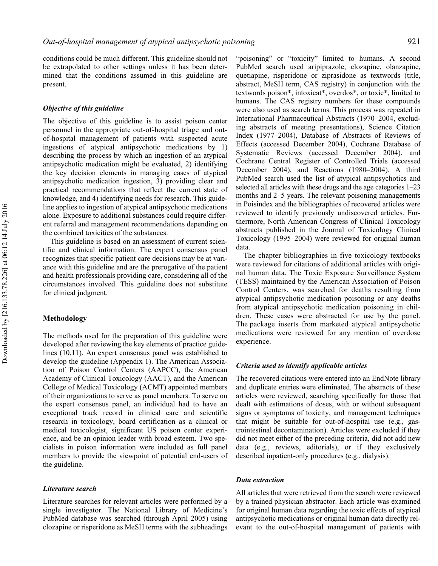conditions could be much different. This guideline should not be extrapolated to other settings unless it has been determined that the conditions assumed in this guideline are present.

#### *Objective of this guideline*

The objective of this guideline is to assist poison center personnel in the appropriate out-of-hospital triage and outof-hospital management of patients with suspected acute ingestions of atypical antipsychotic medications by 1) describing the process by which an ingestion of an atypical antipsychotic medication might be evaluated, 2) identifying the key decision elements in managing cases of atypical antipsychotic medication ingestion, 3) providing clear and practical recommendations that reflect the current state of knowledge, and 4) identifying needs for research. This guideline applies to ingestion of atypical antipsychotic medications alone. Exposure to additional substances could require different referral and management recommendations depending on the combined toxicities of the substances.

This guideline is based on an assessment of current scientific and clinical information. The expert consensus panel recognizes that specific patient care decisions may be at variance with this guideline and are the prerogative of the patient and health professionals providing care, considering all of the circumstances involved. This guideline does not substitute for clinical judgment.

## **Methodology**

The methods used for the preparation of this guideline were developed after reviewing the key elements of practice guidelines (10,11). An expert consensus panel was established to develop the guideline (Appendix 1). The American Association of Poison Control Centers (AAPCC), the American Academy of Clinical Toxicology (AACT), and the American College of Medical Toxicology (ACMT) appointed members of their organizations to serve as panel members. To serve on the expert consensus panel, an individual had to have an exceptional track record in clinical care and scientific research in toxicology, board certification as a clinical or medical toxicologist, significant US poison center experience, and be an opinion leader with broad esteem. Two specialists in poison information were included as full panel members to provide the viewpoint of potential end-users of the guideline.

#### *Literature search*

Literature searches for relevant articles were performed by a single investigator. The National Library of Medicine's PubMed database was searched (through April 2005) using clozapine or risperidone as MeSH terms with the subheadings

"poisoning" or "toxicity" limited to humans. A second PubMed search used aripiprazole, clozapine, olanzapine, quetiapine, risperidone or ziprasidone as textwords (title, abstract, MeSH term, CAS registry) in conjunction with the textwords poison\*, intoxicat\*, overdos\*, or toxic\*, limited to humans. The CAS registry numbers for these compounds were also used as search terms. This process was repeated in International Pharmaceutical Abstracts (1970–2004, excluding abstracts of meeting presentations), Science Citation Index (1977–2004), Database of Abstracts of Reviews of Effects (accessed December 2004), Cochrane Database of Systematic Reviews (accessed December 2004), and Cochrane Central Register of Controlled Trials (accessed December 2004), and Reactions (1980–2004). A third PubMed search used the list of atypical antipsychotics and selected all articles with these drugs and the age categories 1–23 months and 2–5 years. The relevant poisoning managements in Poisindex and the bibliographies of recovered articles were reviewed to identify previously undiscovered articles. Furthermore, North American Congress of Clinical Toxicology abstracts published in the Journal of Toxicology Clinical Toxicology (1995–2004) were reviewed for original human data.

The chapter bibliographies in five toxicology textbooks were reviewed for citations of additional articles with original human data. The Toxic Exposure Surveillance System (TESS) maintained by the American Association of Poison Control Centers, was searched for deaths resulting from atypical antipsychotic medication poisoning or any deaths from atypical antipsychotic medication poisoning in children. These cases were abstracted for use by the panel. The package inserts from marketed atypical antipsychotic medications were reviewed for any mention of overdose experience.

#### *Criteria used to identify applicable articles*

The recovered citations were entered into an EndNote library and duplicate entries were eliminated. The abstracts of these articles were reviewed, searching specifically for those that dealt with estimations of doses, with or without subsequent signs or symptoms of toxicity, and management techniques that might be suitable for out-of-hospital use (e.g., gastrointestinal decontamination). Articles were excluded if they did not meet either of the preceding criteria, did not add new data (e.g., reviews, editorials), or if they exclusively described inpatient-only procedures (e.g., dialysis).

## *Data extraction*

All articles that were retrieved from the search were reviewed by a trained physician abstractor. Each article was examined for original human data regarding the toxic effects of atypical antipsychotic medications or original human data directly relevant to the out-of-hospital management of patients with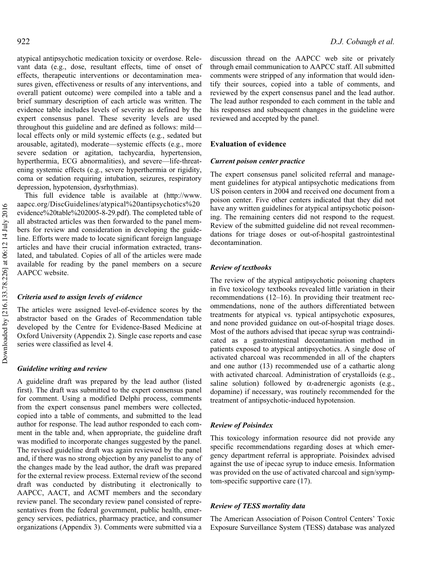atypical antipsychotic medication toxicity or overdose. Relevant data (e.g., dose, resultant effects, time of onset of effects, therapeutic interventions or decontamination measures given, effectiveness or results of any interventions, and overall patient outcome) were compiled into a table and a brief summary description of each article was written. The evidence table includes levels of severity as defined by the expert consensus panel. These severity levels are used throughout this guideline and are defined as follows: mild local effects only or mild systemic effects (e.g., sedated but arousable, agitated), moderate—systemic effects (e.g., more severe sedation or agitation, tachycardia, hypertension, hyperthermia, ECG abnormalities), and severe—life-threatening systemic effects (e.g., severe hyperthermia or rigidity, coma or sedation requiring intubation, seizures, respiratory depression, hypotension, dysrhythmias).

This full evidence table is available at (http://www. aapcc.org/DiscGuidelines/atypical%20antipsychotics%20 evidence%20table%202005-8-29.pdf). The completed table of all abstracted articles was then forwarded to the panel members for review and consideration in developing the guideline. Efforts were made to locate significant foreign language articles and have their crucial information extracted, translated, and tabulated. Copies of all of the articles were made available for reading by the panel members on a secure AAPCC website.

#### *Criteria used to assign levels of evidence*

The articles were assigned level-of-evidence scores by the abstractor based on the Grades of Recommendation table developed by the Centre for Evidence-Based Medicine at Oxford University (Appendix 2). Single case reports and case series were classified as level 4.

#### *Guideline writing and review*

A guideline draft was prepared by the lead author (listed first). The draft was submitted to the expert consensus panel for comment. Using a modified Delphi process, comments from the expert consensus panel members were collected, copied into a table of comments, and submitted to the lead author for response. The lead author responded to each comment in the table and, when appropriate, the guideline draft was modified to incorporate changes suggested by the panel. The revised guideline draft was again reviewed by the panel and, if there was no strong objection by any panelist to any of the changes made by the lead author, the draft was prepared for the external review process. External review of the second draft was conducted by distributing it electronically to AAPCC, AACT, and ACMT members and the secondary review panel. The secondary review panel consisted of representatives from the federal government, public health, emergency services, pediatrics, pharmacy practice, and consumer organizations (Appendix 3). Comments were submitted via a

discussion thread on the AAPCC web site or privately through email communication to AAPCC staff. All submitted comments were stripped of any information that would identify their sources, copied into a table of comments, and reviewed by the expert consensus panel and the lead author. The lead author responded to each comment in the table and his responses and subsequent changes in the guideline were reviewed and accepted by the panel.

#### **Evaluation of evidence**

#### *Current poison center practice*

The expert consensus panel solicited referral and management guidelines for atypical antipsychotic medications from US poison centers in 2004 and received one document from a poison center. Five other centers indicated that they did not have any written guidelines for atypical antipsychotic poisoning. The remaining centers did not respond to the request. Review of the submitted guideline did not reveal recommendations for triage doses or out-of-hospital gastrointestinal decontamination.

## *Review of textbooks*

The review of the atypical antipsychotic poisoning chapters in five toxicology textbooks revealed little variation in their recommendations (12–16). In providing their treatment recommendations, none of the authors differentiated between treatments for atypical vs. typical antipsychotic exposures, and none provided guidance on out-of-hospital triage doses. Most of the authors advised that ipecac syrup was contraindicated as a gastrointestinal decontamination method in patients exposed to atypical antipsychotics. A single dose of activated charcoal was recommended in all of the chapters and one author (13) recommended use of a cathartic along with activated charcoal. Administration of crystalloids (e.g., saline solution) followed by  $\alpha$ -adrenergic agonists (e.g., dopamine) if necessary, was routinely recommended for the treatment of antipsychotic-induced hypotension.

#### *Review of Poisindex*

This toxicology information resource did not provide any specific recommendations regarding doses at which emergency department referral is appropriate. Poisindex advised against the use of ipecac syrup to induce emesis. Information was provided on the use of activated charcoal and sign/symptom-specific supportive care (17).

## *Review of TESS mortality data*

The American Association of Poison Control Centers' Toxic Exposure Surveillance System (TESS) database was analyzed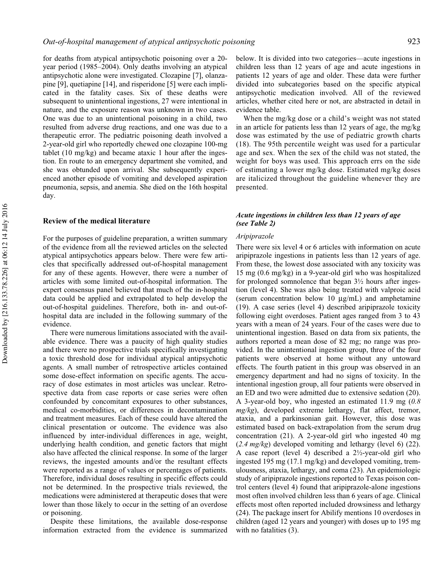for deaths from atypical antipsychotic poisoning over a 20 year period (1985–2004). Only deaths involving an atypical antipsychotic alone were investigated. Clozapine [7], olanzapine [9], quetiapine [14], and risperidone [5] were each implicated in the fatality cases. Six of these deaths were subsequent to unintentional ingestions, 27 were intentional in nature, and the exposure reason was unknown in two cases. One was due to an unintentional poisoning in a child, two resulted from adverse drug reactions, and one was due to a therapeutic error. The pediatric poisoning death involved a 2-year-old girl who reportedly chewed one clozapine 100-mg tablet (10 mg/kg) and became ataxic 1 hour after the ingestion. En route to an emergency department she vomited, and she was obtunded upon arrival. She subsequently experienced another episode of vomiting and developed aspiration pneumonia, sepsis, and anemia. She died on the 16th hospital day.

#### **Review of the medical literature**

For the purposes of guideline preparation, a written summary of the evidence from all the reviewed articles on the selected atypical antipsychotics appears below. There were few articles that specifically addressed out-of-hospital management for any of these agents. However, there were a number of articles with some limited out-of-hospital information. The expert consensus panel believed that much of the in-hospital data could be applied and extrapolated to help develop the out-of-hospital guidelines. Therefore, both in- and out-ofhospital data are included in the following summary of the evidence.

There were numerous limitations associated with the available evidence. There was a paucity of high quality studies and there were no prospective trials specifically investigating a toxic threshold dose for individual atypical antipsychotic agents. A small number of retrospective articles contained some dose-effect information on specific agents. The accuracy of dose estimates in most articles was unclear. Retrospective data from case reports or case series were often confounded by concomitant exposures to other substances, medical co-morbidities, or differences in decontamination and treatment measures. Each of these could have altered the clinical presentation or outcome. The evidence was also influenced by inter-individual differences in age, weight, underlying health condition, and genetic factors that might also have affected the clinical response. In some of the larger reviews, the ingested amounts and/or the resultant effects were reported as a range of values or percentages of patients. Therefore, individual doses resulting in specific effects could not be determined. In the prospective trials reviewed, the medications were administered at therapeutic doses that were lower than those likely to occur in the setting of an overdose or poisoning.

Despite these limitations, the available dose-response information extracted from the evidence is summarized below. It is divided into two categories—acute ingestions in children less than 12 years of age and acute ingestions in patients 12 years of age and older. These data were further divided into subcategories based on the specific atypical antipsychotic medication involved. All of the reviewed articles, whether cited here or not, are abstracted in detail in evidence table.

When the mg/kg dose or a child's weight was not stated in an article for patients less than 12 years of age, the mg/kg dose was estimated by the use of pediatric growth charts (18). The 95th percentile weight was used for a particular age and sex. When the sex of the child was not stated, the weight for boys was used. This approach errs on the side of estimating a lower mg/kg dose. Estimated mg/kg doses are italicized throughout the guideline whenever they are presented.

## *Acute ingestions in children less than 12 years of age (see Table 2)*

#### *Aripiprazole*

There were six level 4 or 6 articles with information on acute aripiprazole ingestions in patients less than 12 years of age. From these, the lowest dose associated with any toxicity was 15 mg (0.6 mg/kg) in a 9-year-old girl who was hospitalized for prolonged somnolence that began 3½ hours after ingestion (level 4). She was also being treated with valproic acid (serum concentration below 10 µg/mL) and amphetamine (19). A case series (level 4) described aripiprazole toxicity following eight overdoses. Patient ages ranged from 3 to 43 years with a mean of 24 years. Four of the cases were due to unintentional ingestion. Based on data from six patients, the authors reported a mean dose of 82 mg; no range was provided. In the unintentional ingestion group, three of the four patients were observed at home without any untoward effects. The fourth patient in this group was observed in an emergency department and had no signs of toxicity. In the intentional ingestion group, all four patients were observed in an ED and two were admitted due to extensive sedation (20). A 3-year-old boy, who ingested an estimated 11.9 mg (*0.8 mg/kg*), developed extreme lethargy, flat affect, tremor, ataxia, and a parkinsonian gait. However, this dose was estimated based on back-extrapolation from the serum drug concentration (21). A 2-year-old girl who ingested 40 mg (*2.4 mg/kg*) developed vomiting and lethargy (level 6) (22). A case report (level 4) described a 2½-year-old girl who ingested 195 mg (17.1 mg/kg) and developed vomiting, tremulousness, ataxia, lethargy, and coma (23). An epidemiologic study of aripiprazole ingestions reported to Texas poison control centers (level 4) found that aripiprazole-alone ingestions most often involved children less than 6 years of age. Clinical effects most often reported included drowsiness and lethargy (24). The package insert for Abilify mentions 10 overdoses in children (aged 12 years and younger) with doses up to 195 mg with no fatalities (3).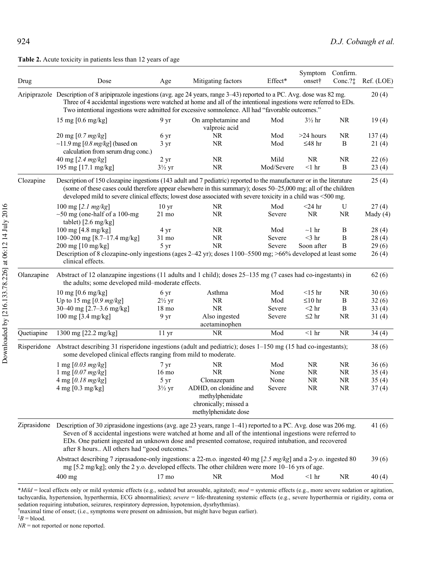| Drug       | Dose                                                                                                                                                                                                                                                                                                                                                                                                  | Age               | Mitigating factors                                                                         | Effect*    | onset†            | Symptom Confirm.<br>Conc.? $\ddagger$ | Ref. (LOE) |  |  |
|------------|-------------------------------------------------------------------------------------------------------------------------------------------------------------------------------------------------------------------------------------------------------------------------------------------------------------------------------------------------------------------------------------------------------|-------------------|--------------------------------------------------------------------------------------------|------------|-------------------|---------------------------------------|------------|--|--|
|            | Aripiprazole Description of 8 aripiprazole ingestions (avg. age 24 years, range 3-43) reported to a PC. Avg. dose was 82 mg.<br>Three of 4 accidental ingestions were watched at home and all of the intentional ingestions were referred to EDs.<br>Two intentional ingestions were admitted for excessive somnolence. All had "favorable outcomes."                                                 |                   |                                                                                            |            |                   |                                       | 20(4)      |  |  |
|            | 15 mg [0.6 mg/kg]                                                                                                                                                                                                                                                                                                                                                                                     | 9 yr              | On amphetamine and<br>valproic acid                                                        | Mod        | $3\frac{1}{2}$ hr | <b>NR</b>                             | 19(4)      |  |  |
|            | 20 mg $[0.7 \, mg/kg]$                                                                                                                                                                                                                                                                                                                                                                                | 6 yr              | <b>NR</b>                                                                                  | Mod        | $>24$ hours       | <b>NR</b>                             | 137(4)     |  |  |
|            | $\sim$ 11.9 mg [0.8 mg/kg] (based on<br>calculation from serum drug conc.)                                                                                                                                                                                                                                                                                                                            | 3 yr              | <b>NR</b>                                                                                  | Mod        | $≤48 hr$          | B                                     | 21(4)      |  |  |
|            | 40 mg [2.4 mg/kg]                                                                                                                                                                                                                                                                                                                                                                                     | 2 <sub>yr</sub>   | <b>NR</b>                                                                                  | Mild       | <b>NR</b>         | <b>NR</b>                             | 22(6)      |  |  |
|            | 195 mg [17.1 mg/kg]                                                                                                                                                                                                                                                                                                                                                                                   | $3\frac{1}{2}$ yr | <b>NR</b>                                                                                  | Mod/Severe | $<1$ hr           | B                                     | 23(4)      |  |  |
| Clozapine  | Description of 150 clozapine ingestions (143 adult and 7 pediatric) reported to the manufacturer or in the literature<br>(some of these cases could therefore appear elsewhere in this summary); doses 50–25,000 mg; all of the children<br>developed mild to severe clinical effects; lowest dose associated with severe toxicity in a child was <500 mg.                                            |                   |                                                                                            |            |                   |                                       |            |  |  |
|            | 100 mg [2.1 mg/kg]                                                                                                                                                                                                                                                                                                                                                                                    | 10 <sub>yr</sub>  | <b>NR</b>                                                                                  | Mod        | $<$ 24 hr         | U                                     | 27(4)      |  |  |
|            | $\sim$ 50 mg (one-half of a 100-mg<br>tablet) $[2.6 \text{ mg/kg}]$                                                                                                                                                                                                                                                                                                                                   | $21 \text{ mo}$   | <b>NR</b>                                                                                  | Severe     | <b>NR</b>         | $\rm NR$                              | Mady(4)    |  |  |
|            | 100 mg [4.8 mg/kg]                                                                                                                                                                                                                                                                                                                                                                                    | 4 yr              | <b>NR</b>                                                                                  | Mod        | $\sim$ 1 hr       | B                                     | 28(4)      |  |  |
|            | 100-200 mg [8.7-17.4 mg/kg]                                                                                                                                                                                                                                                                                                                                                                           | 31 mo             | <b>NR</b>                                                                                  | Severe     | $<$ 3 hr          | $\, {\bf B}$                          | 28(4)      |  |  |
|            | 200 mg [10 mg/kg]                                                                                                                                                                                                                                                                                                                                                                                     | 5 yr              | <b>NR</b>                                                                                  | Severe     | Soon after        | $\bf{B}$                              | 29(6)      |  |  |
|            | Description of 8 clozapine-only ingestions (ages 2-42 yr); doses 1100-5500 mg; >66% developed at least some<br>clinical effects.                                                                                                                                                                                                                                                                      |                   |                                                                                            |            |                   |                                       | 26(4)      |  |  |
| Olanzapine | Abstract of 12 olanzapine ingestions (11 adults and 1 child); doses 25-135 mg (7 cases had co-ingestants) in<br>the adults; some developed mild-moderate effects.                                                                                                                                                                                                                                     |                   |                                                                                            |            |                   |                                       | 62(6)      |  |  |
|            | $10$ mg $[0.6$ mg/kg]                                                                                                                                                                                                                                                                                                                                                                                 | 6 yr              | Asthma                                                                                     | Mod        | $<15$ hr          | <b>NR</b>                             | 30(6)      |  |  |
|            | Up to 15 mg $[0.9 \text{ mg/kg}]$                                                                                                                                                                                                                                                                                                                                                                     | $2\frac{1}{2}$ yr | <b>NR</b>                                                                                  | Mod        | $≤10 hr$          | $\, {\bf B}$                          | 32(6)      |  |  |
|            | 30–40 mg [2.7–3.6 mg/kg]                                                                                                                                                                                                                                                                                                                                                                              | $18 \text{ mo}$   | <b>NR</b>                                                                                  | Severe     | $<$ 2 hr          | $\, {\bf B}$                          | 33(4)      |  |  |
|            | 100 mg [3.4 mg/kg]                                                                                                                                                                                                                                                                                                                                                                                    | 9 <sub>yr</sub>   | Also ingested<br>acetaminophen                                                             | Severe     | $\leq$ 2 hr       | NR                                    | 31(4)      |  |  |
| Quetiapine | 1300 mg [22.2 mg/kg]                                                                                                                                                                                                                                                                                                                                                                                  | 11 <sub>yr</sub>  | <b>NR</b>                                                                                  | Mod        | $<1$ hr           | <b>NR</b>                             | 34(4)      |  |  |
|            | Risperidone Abstract describing 31 risperidone ingestions (adult and pediatric); doses $1-150$ mg (15 had co-ingestants);<br>some developed clinical effects ranging from mild to moderate.                                                                                                                                                                                                           |                   |                                                                                            |            |                   |                                       |            |  |  |
|            | 1 mg $[0.03 \, mg/kg]$                                                                                                                                                                                                                                                                                                                                                                                | 7 <sub>yr</sub>   | NR.                                                                                        | Mod        | <b>NR</b>         | <b>NR</b>                             | 36(6)      |  |  |
|            | 1 mg $[0.07 \, mg/kg]$                                                                                                                                                                                                                                                                                                                                                                                | 16 mo             | <b>NR</b>                                                                                  | None       | <b>NR</b>         | <b>NR</b>                             | 35(4)      |  |  |
|            | 4 mg $[0.18 \, mg/kg]$                                                                                                                                                                                                                                                                                                                                                                                | 5 yr              | Clonazepam                                                                                 | None       | <b>NR</b>         | <b>NR</b>                             | 35(4)      |  |  |
|            | $4 \text{ mg}$ [0.3 mg/kg]                                                                                                                                                                                                                                                                                                                                                                            | $3\frac{1}{2}$ yr | ADHD, on clonidine and<br>methylphenidate<br>chronically; missed a<br>methylphenidate dose | Severe     | NR.               | NR.                                   | 37(4)      |  |  |
|            | Ziprasidone Description of 30 ziprasidone ingestions (avg. age 23 years, range 1–41) reported to a PC. Avg. dose was 206 mg.<br>Seven of 8 accidental ingestions were watched at home and all of the intentional ingestions were referred to<br>EDs. One patient ingested an unknown dose and presented comatose, required intubation, and recovered<br>after 8 hours All others had "good outcomes." |                   |                                                                                            |            |                   |                                       | 41(6)      |  |  |
|            | Abstract describing 7 ziprasadone-only ingestions: a 22-m.o. ingested 40 mg [2.5 mg/kg] and a 2-y.o. ingested 80<br>mg [5.2 mg/kg]; only the 2 y.o. developed effects. The other children were more 10–16 yrs of age.                                                                                                                                                                                 |                   |                                                                                            |            |                   |                                       | 39(6)      |  |  |
|            | $400$ mg                                                                                                                                                                                                                                                                                                                                                                                              | $17 \text{ mo}$   | NR.                                                                                        | Mod        | $<$ 1 hr          | <b>NR</b>                             | 40(4)      |  |  |

Table 2. Acute toxicity in patients less than 12 years of age

\**Mild* = local effects only or mild systemic effects (e.g., sedated but arousable, agitated); *mod* = systemic effects (e.g., more severe sedation or agitation, tachycardia, hypertension, hyperthermia, ECG abnormalities); *severe* = life-threatening systemic effects (e.g., severe hyperthermia or rigidity, coma or sedation requiring intubation, seizures, respiratory depression, hypotension, dysrhythmias).

†maximal time of onset; (i.e., symptoms were present on admission, but might have begun earlier).

 ${}^{\ddagger}B = \text{blood}.$ 

*NR* = not reported or none reported.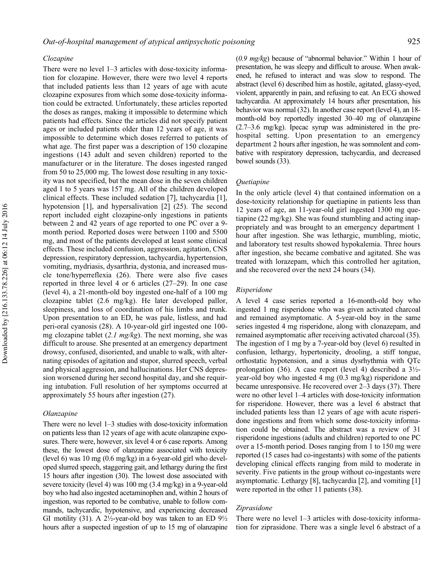#### *Clozapine*

There were no level 1–3 articles with dose-toxicity information for clozapine. However, there were two level 4 reports that included patients less than 12 years of age with acute clozapine exposures from which some dose-toxicity information could be extracted. Unfortunately, these articles reported the doses as ranges, making it impossible to determine which patients had effects. Since the articles did not specify patient ages or included patients older than 12 years of age, it was impossible to determine which doses referred to patients of what age. The first paper was a description of 150 clozapine ingestions (143 adult and seven children) reported to the manufacturer or in the literature. The doses ingested ranged from 50 to 25,000 mg. The lowest dose resulting in any toxicity was not specified, but the mean dose in the seven children aged 1 to 5 years was 157 mg. All of the children developed clinical effects. These included sedation [7], tachycardia [1], hypotension [1], and hypersalivation [2] (25). The second report included eight clozapine-only ingestions in patients between 2 and 42 years of age reported to one PC over a 9 month period. Reported doses were between 1100 and 5500 mg, and most of the patients developed at least some clinical effects. These included confusion, aggression, agitation, CNS depression, respiratory depression, tachycardia, hypertension, vomiting, mydriasis, dysarthria, dystonia, and increased muscle tone/hyperreflexia (26). There were also five cases reported in three level 4 or 6 articles (27–29). In one case (level 4), a 21-month-old boy ingested one-half of a 100 mg clozapine tablet (2.6 mg/kg). He later developed pallor, sleepiness, and loss of coordination of his limbs and trunk. Upon presentation to an ED, he was pale, listless, and had peri-oral cyanosis (28). A 10-year-old girl ingested one 100 mg clozapine tablet (*2.1 mg/kg*). The next morning, she was difficult to arouse. She presented at an emergency department drowsy, confused, disoriented, and unable to walk, with alternating episodes of agitation and stupor, slurred speech, verbal and physical aggression, and hallucinations. Her CNS depression worsened during her second hospital day, and she requiring intubation. Full resolution of her symptoms occurred at approximately 55 hours after ingestion (27).

## *Olanzapine*

There were no level 1–3 studies with dose-toxicity information on patients less than 12 years of age with acute olanzapine exposures. There were, however, six level 4 or 6 case reports. Among these, the lowest dose of olanzapine associated with toxicity (level 6) was 10 mg (0.6 mg/kg) in a 6-year-old girl who developed slurred speech, staggering gait, and lethargy during the first 15 hours after ingestion (30). The lowest dose associated with severe toxicity (level 4) was 100 mg (3.4 mg/kg) in a 9-year-old boy who had also ingested acetaminophen and, within 2 hours of ingestion, was reported to be combative, unable to follow commands, tachycardic, hypotensive, and experiencing decreased GI motility (31). A 2½-year-old boy was taken to an ED  $9\frac{1}{2}$ hours after a suspected ingestion of up to 15 mg of olanzapine (*0.9 mg/kg*) because of "abnormal behavior." Within 1 hour of presentation, he was sleepy and difficult to arouse. When awakened, he refused to interact and was slow to respond. The abstract (level 6) described him as hostile, agitated, glassy-eyed, violent, apparently in pain, and refusing to eat. An ECG showed tachycardia. At approximately 14 hours after presentation, his behavior was normal (32). In another case report (level 4), an 18 month-old boy reportedly ingested 30–40 mg of olanzapine (2.7–3.6 mg/kg). Ipecac syrup was administered in the prehospital setting. Upon presentation to an emergency department 2 hours after ingestion, he was somnolent and combative with respiratory depression, tachycardia, and decreased bowel sounds (33).

#### *Quetiapine*

In the only article (level 4) that contained information on a dose-toxicity relationship for quetiapine in patients less than 12 years of age, an 11-year-old girl ingested 1300 mg quetiapine (22 mg/kg). She was found stumbling and acting inappropriately and was brought to an emergency department 1 hour after ingestion. She was lethargic, mumbling, miotic, and laboratory test results showed hypokalemia. Three hours after ingestion, she became combative and agitated. She was treated with lorazepam, which this controlled her agitation, and she recovered over the next 24 hours (34).

#### *Risperidone*

A level 4 case series reported a 16-month-old boy who ingested 1 mg risperidone who was given activated charcoal and remained asymptomatic. A 5-year-old boy in the same series ingested 4 mg risperidone, along with clonazepam, and remained asymptomatic after receiving activated charcoal (35). The ingestion of 1 mg by a 7-year-old boy (level 6) resulted in confusion, lethargy, hypertonicity, drooling, a stiff tongue, orthostatic hypotension, and a sinus dysrhythmia with QTc prolongation (36). A case report (level 4) described a 3½ year-old boy who ingested 4 mg (0.3 mg/kg) risperidone and became unresponsive. He recovered over 2–3 days (37). There were no other level 1–4 articles with dose-toxicity information for risperidone. However, there was a level 6 abstract that included patients less than 12 years of age with acute risperidone ingestions and from which some dose-toxicity information could be obtained. The abstract was a review of 31 risperidone ingestions (adults and children) reported to one PC over a 15-month period. Doses ranging from 1 to 150 mg were reported (15 cases had co-ingestants) with some of the patients developing clinical effects ranging from mild to moderate in severity. Five patients in the group without co-ingestants were asymptomatic. Lethargy [8], tachycardia [2], and vomiting [1] were reported in the other 11 patients (38).

#### *Ziprasidone*

There were no level 1–3 articles with dose-toxicity information for ziprasidone. There was a single level 6 abstract of a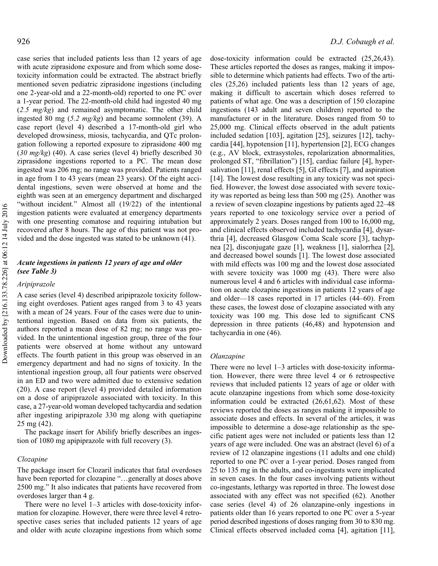case series that included patients less than 12 years of age with acute ziprasidone exposure and from which some dosetoxicity information could be extracted. The abstract briefly mentioned seven pediatric ziprasidone ingestions (including one 2-year-old and a 22-month-old) reported to one PC over a 1-year period. The 22-month-old child had ingested 40 mg (*2.5 mg/kg*) and remained asymptomatic. The other child ingested 80 mg (*5.2 mg/kg*) and became somnolent (39). A case report (level 4) described a 17-month-old girl who developed drowsiness, miosis, tachycardia, and QTc prolongation following a reported exposure to ziprasidone 400 mg (*30 mg/kg*) (40). A case series (level 4) briefly described 30 ziprasidone ingestions reported to a PC. The mean dose ingested was 206 mg; no range was provided. Patients ranged in age from 1 to 43 years (mean 23 years). Of the eight accidental ingestions, seven were observed at home and the eighth was seen at an emergency department and discharged "without incident." Almost all (19/22) of the intentional ingestion patients were evaluated at emergency departments with one presenting comatose and requiring intubation but recovered after 8 hours. The age of this patient was not provided and the dose ingested was stated to be unknown (41).

## *Acute ingestions in patients 12 years of age and older (see Table 3)*

#### *Aripiprazole*

A case series (level 4) described aripiprazole toxicity following eight overdoses. Patient ages ranged from 3 to 43 years with a mean of 24 years. Four of the cases were due to unintentional ingestion. Based on data from six patients, the authors reported a mean dose of 82 mg; no range was provided. In the unintentional ingestion group, three of the four patients were observed at home without any untoward effects. The fourth patient in this group was observed in an emergency department and had no signs of toxicity. In the intentional ingestion group, all four patients were observed in an ED and two were admitted due to extensive sedation (20). A case report (level 4) provided detailed information on a dose of aripiprazole associated with toxicity. In this case, a 27-year-old woman developed tachycardia and sedation after ingesting aripiprazole 330 mg along with quetiapine 25 mg (42).

The package insert for Abilify briefly describes an ingestion of 1080 mg apipiprazole with full recovery (3).

#### *Clozapine*

The package insert for Clozaril indicates that fatal overdoses have been reported for clozapine "…generally at doses above 2500 mg." It also indicates that patients have recovered from overdoses larger than 4 g.

There were no level 1–3 articles with dose-toxicity information for clozapine. However, there were three level 4 retrospective cases series that included patients 12 years of age and older with acute clozapine ingestions from which some dose-toxicity information could be extracted (25,26,43). These articles reported the doses as ranges, making it impossible to determine which patients had effects. Two of the articles (25,26) included patients less than 12 years of age, making it difficult to ascertain which doses referred to patients of what age. One was a description of 150 clozapine ingestions (143 adult and seven children) reported to the manufacturer or in the literature. Doses ranged from 50 to 25,000 mg. Clinical effects observed in the adult patients included sedation [103], agitation [25], seizures [12], tachycardia [44], hypotension [11], hypertension [2], ECG changes (e.g., AV block, extrasystoles, repolarization abnormalities, prolonged ST, "fibrillation") [15], cardiac failure [4], hypersalivation [11], renal effects [5], GI effects [7], and aspiration [14]. The lowest dose resulting in any toxicity was not specified. However, the lowest dose associated with severe toxicity was reported as being less than 500 mg (25). Another was a review of seven clozapine ingestions by patients aged 22–48 years reported to one toxicology service over a period of approximately 2 years. Doses ranged from 100 to 16,000 mg, and clinical effects observed included tachycardia [4], dysarthria [4], decreased Glasgow Coma Scale score [3], tachypnea [2], disconjugate gaze [1], weakness [1], sialorrhea [2], and decreased bowel sounds [1]. The lowest dose associated with mild effects was 100 mg and the lowest dose associated with severe toxicity was 1000 mg (43). There were also numerous level 4 and 6 articles with individual case information on acute clozapine ingestions in patients 12 years of age and older—18 cases reported in 17 articles (44–60). From these cases, the lowest dose of clozapine associated with any toxicity was 100 mg. This dose led to significant CNS depression in three patients (46,48) and hypotension and tachycardia in one (46).

#### *Olanzapine*

There were no level 1–3 articles with dose-toxicity information. However, there were three level 4 or 6 retrospective reviews that included patients 12 years of age or older with acute olanzapine ingestions from which some dose-toxicity information could be extracted (26,61,62). Most of these reviews reported the doses as ranges making it impossible to associate doses and effects. In several of the articles, it was impossible to determine a dose-age relationship as the specific patient ages were not included or patients less than 12 years of age were included. One was an abstract (level 6) of a review of 12 olanzapine ingestions (11 adults and one child) reported to one PC over a 1-year period. Doses ranged from 25 to 135 mg in the adults, and co-ingestants were implicated in seven cases. In the four cases involving patients without co-ingestants, lethargy was reported in three. The lowest dose associated with any effect was not specified (62). Another case series (level 4) of 26 olanzapine-only ingestions in patients older than 16 years reported to one PC over a 5-year period described ingestions of doses ranging from 30 to 830 mg. Clinical effects observed included coma [4], agitation [11],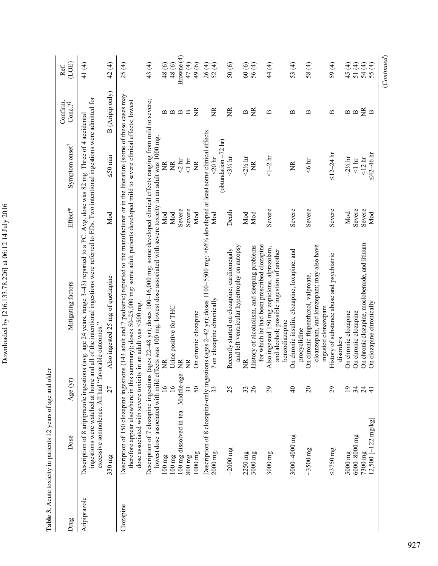| r    |
|------|
|      |
|      |
|      |
|      |
|      |
| į    |
|      |
|      |
|      |
|      |
| ١    |
|      |
|      |
|      |
|      |
|      |
| こくへい |
|      |
|      |
| ֕    |
|      |
| l    |
| I    |
|      |
|      |
|      |
|      |
|      |
|      |
|      |
|      |
|      |
| ĺ    |
|      |

| i                                  |
|------------------------------------|
| rears of and one to<br>Į<br>i<br>۱ |
|                                    |
|                                    |
| CVIOUTING MOTIONTO<br>۱            |
| $\mathbf{I}$                       |
|                                    |
|                                    |
|                                    |
| $\frac{1}{2}$                      |
|                                    |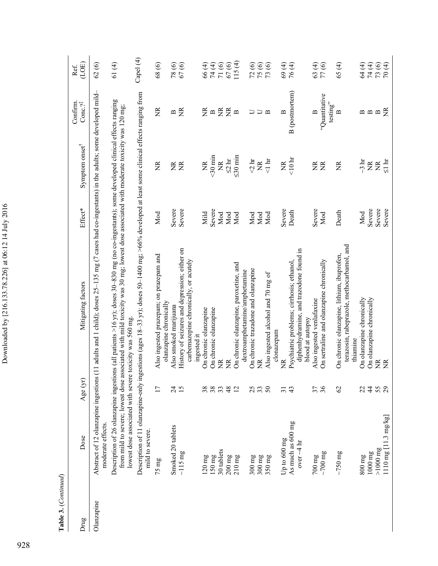| Table 3. (Continued) |                                                             |                 |                           |                                                                                                                                                                                                                                                                                   |         |                            |                                               |                                           |
|----------------------|-------------------------------------------------------------|-----------------|---------------------------|-----------------------------------------------------------------------------------------------------------------------------------------------------------------------------------------------------------------------------------------------------------------------------------|---------|----------------------------|-----------------------------------------------|-------------------------------------------|
| Drug                 | Dose                                                        | Age (yr)        |                           | Mitigating factors                                                                                                                                                                                                                                                                | Effect* | Symptom onset <sup>†</sup> | Confirm.<br>$\mathrm{Conc.} \mathit{?}^\ddag$ | (LOE)<br>Ref.                             |
| Olanzapine           | Abstract of 12 olanzapine ingestions (<br>moderate effects. |                 |                           | 11 adults and 1 child); doses 25-135 mg (7 cases had co-ingestants) in the adults; some developed mild-                                                                                                                                                                           |         |                            |                                               | 62(6)                                     |
|                      | lowest dose associated with severe                          |                 | toxicity was 560 mg.      | Description of 26 olanzapine ingestions (all patients >16 yr); doses 30-830 mg (no co-ingestants); some developed clinical effects ranging<br>from mild to severe; lowest dose associated with mild toxicity was 30 mg; lowest dose associated with moderate toxicity was 120 mg; |         |                            |                                               | 61(4)                                     |
|                      | Description of 11 olanzapine-only ing<br>mild to severe.    |                 |                           | estions (ages 18-33 yr); doses 50-1400 mg; >66% developed at least some clinical effects ranging from                                                                                                                                                                             |         |                            |                                               | Capel (4)                                 |
|                      | $75 \text{ mg}$                                             | 17              |                           | Also ingested prazepam; on prazepam and<br>olanzapine chronically                                                                                                                                                                                                                 | Mod     | Ž                          | Ž                                             | 68(6)                                     |
|                      | Smoked 20 tablets                                           | $\overline{c}$  | Also smoked marijuana     |                                                                                                                                                                                                                                                                                   | Severe  | É                          | $\mathbf{\Omega}$                             |                                           |
|                      | $\sim$ 115 mg                                               | 15              |                           | History of seizures and depression; either on<br>carbemazepine chronically, or acutely                                                                                                                                                                                            | Severe  | $\widetilde{\Xi}$          | $\widetilde{\Xi}$                             | $\frac{78}{67}$ (6)                       |
|                      |                                                             |                 | ingested it               |                                                                                                                                                                                                                                                                                   |         |                            |                                               |                                           |
|                      | $120$ mg                                                    | 38              | On chronic olanzapine     |                                                                                                                                                                                                                                                                                   | Mild    | $\widetilde{\Xi}$          | ž                                             | 66(4)                                     |
|                      | 150 mg                                                      | 38              | On chronic olanzapine     |                                                                                                                                                                                                                                                                                   | Severe  | $50 \text{ min}$           | $\mathbf{\underline{\upomega}}$               | 74(4)                                     |
|                      | 30 tablets                                                  | 33              | Ĕ                         |                                                                                                                                                                                                                                                                                   | Mod     | $\widetilde{\Xi}$          | $\widetilde{\Xi}$                             | 71(6)                                     |
|                      | $200\,\mathrm{mg}$                                          |                 | $\widetilde{\Xi}$         |                                                                                                                                                                                                                                                                                   | Mod     | $\leq 2$ hr                | $\widetilde{\Xi}$                             | 67(6)                                     |
|                      | $210 \text{ mg}$                                            | $rac{8}{2}$     |                           | On chronic olanzapine, paroxetine, and                                                                                                                                                                                                                                            | Mod     | $≤30 \text{ min}$          | $\mathbf{\Omega}$                             | 115(4)                                    |
|                      |                                                             |                 |                           | dextroamphetamine/amphetamine                                                                                                                                                                                                                                                     |         |                            |                                               |                                           |
|                      | $300$ mg                                                    |                 |                           | On chronic trazadone and olanzapine                                                                                                                                                                                                                                               | Mod     | $2 \text{ hr}$             | $\Box$                                        |                                           |
|                      | $300 \text{ mg}$                                            | $338$           | $\widetilde{\Xi}$         |                                                                                                                                                                                                                                                                                   | Mod     | $\widetilde{\Xi}$          | $\Box$                                        | $72(6)$<br>$75(6)$                        |
|                      | 350 mg                                                      |                 |                           | Also ingested alcohol and 70 mg of                                                                                                                                                                                                                                                | Mod     | $<1~\mathrm{hr}$           | $\mathbf{m}$                                  | 73(6)                                     |
|                      |                                                             |                 | clonazepam                |                                                                                                                                                                                                                                                                                   |         |                            |                                               |                                           |
|                      | Up to 600 mg                                                | $\overline{31}$ | $\widetilde{\Xi}$         |                                                                                                                                                                                                                                                                                   | Severe  | $\widetilde{\Xi}$          | $\approx$                                     | 69(4)                                     |
|                      | As much as 600 mg                                           | 43              |                           | Psychiatric problems; cirrhosis; ethanol,                                                                                                                                                                                                                                         | Death   | $<10\ \mathrm{hr}$         | B (postmortem)                                | 76(4)                                     |
|                      | over $-4 \text{ hr}$                                        |                 | blood at autopsy          | diphenhydramine, and trazodone found in                                                                                                                                                                                                                                           |         |                            |                                               |                                           |
|                      | $700 \:\rm mg$                                              |                 | Also ingested venlafaxine |                                                                                                                                                                                                                                                                                   | Severe  | $\widetilde{R}$            | $\approx$                                     | 63(4)                                     |
|                      | $\sim\!\!700\,\mathrm{mg}$                                  | 37<br>36        |                           | On sertraline and olanzapine chronically                                                                                                                                                                                                                                          | Mod     | Ž                          | "Ouantitative<br>testing"                     | 77(6)                                     |
|                      | $-750$ mg                                                   | $\mathcal{O}$   |                           | terazosin, rabeprazole, methocarbamol, and<br>On chronic olanzapine, lithium, ibuprofen,                                                                                                                                                                                          | Death   | $\widetilde{R}$            | മ                                             | 65(4)                                     |
|                      |                                                             |                 | thiamine                  |                                                                                                                                                                                                                                                                                   |         |                            |                                               |                                           |
|                      | $800$ mg                                                    | 22              | On olanzapine chronically |                                                                                                                                                                                                                                                                                   | Mod     | $-3 \text{ hr}$            | $\mathbf{\Xi}$                                | 64 (4)                                    |
|                      | $1000 \text{ mg}$                                           | $\ddot{4}$      | On olanzapine chronically |                                                                                                                                                                                                                                                                                   | Severe  | $\widetilde{\Xi}$          | $\mathbf{\underline{\underline{\alpha}}}$     |                                           |
|                      | $>1000~\mathrm{mg}$                                         | 55              | Ĕ                         |                                                                                                                                                                                                                                                                                   | Severe  | $\widetilde{R}$            | $\mathbf{\underline{\square}}$                |                                           |
|                      | $1110 \text{ mg}$ $[11.3 \text{ mg/kg}]$                    | 29              | ã                         |                                                                                                                                                                                                                                                                                   | Severe  | $\frac{11}{2}$             | $\widetilde{\Xi}$                             | $(4)$<br>$(4)$<br>$(4)$<br>$(5)$<br>$(5)$ |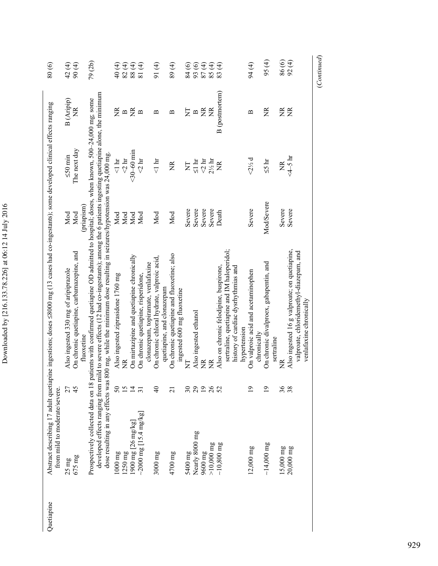| Quetiapine | from mild to moderate/severe.                                           |                     | Abstract describing 17 adult quetiapine ingestions; doses <8000 mg (13 cases had co-ingestants); some developed clinical effects ranging                                                                                                                                                                                            |                          |                                     |                                 | 80(6)                                                |
|------------|-------------------------------------------------------------------------|---------------------|-------------------------------------------------------------------------------------------------------------------------------------------------------------------------------------------------------------------------------------------------------------------------------------------------------------------------------------|--------------------------|-------------------------------------|---------------------------------|------------------------------------------------------|
|            | 675 mg<br>$25 \text{ mg}$                                               | 45<br>27            | On chronic quetiapine, carbamazepine, and<br>Also ingested 330 mg of aripiprazole<br>fluoxetine                                                                                                                                                                                                                                     | (priapism)<br>Mod<br>Mod | The next day<br>$\leq 50$ min       | B (Aripip)<br>$\widetilde{\Xi}$ | 90(4)<br>42(4)                                       |
|            | dose resulting in any effects was<br>Prospectively collected data on 18 |                     | developed effects ranging from mild to severe effects (12 had co-ingestants); among the 6 patients ingesting quetiapine alone, the minimum<br>patients with confirmed quetiapine OD admitted to hospital; doses, when known, 500-24,000 mg; some<br>800 mg, while the minimum dose resulting in seizures/hypotension was 24,000 mg. |                          |                                     |                                 | 79 (2b)                                              |
|            | $1000 \:\rm mg$<br>1250 mg                                              | $\mathcal{S}$<br>15 | Also ingested ziprasidone 1760 mg<br>ž                                                                                                                                                                                                                                                                                              | Mod<br>Mod               | $< 2 \text{ hr}$<br>$<1 \text{ hr}$ | ž<br>$\mathbf{m}$               | 40(4)<br>$\widehat{\mathfrak{t}}$<br>82 <sub>1</sub> |
|            | 1900 mg [26 mg/kg]                                                      | $\overline{1}$      | On mirtazipine and quetiapine chronically                                                                                                                                                                                                                                                                                           | Mod                      | $30-60$ min                         | $\widetilde{\Xi}$               | $\bigoplus$<br>88                                    |
|            | $-2000 \text{ mg}$ [15.4 mg/kg]                                         | $\overline{31}$     | clonazepam, topiramate, venlafaxine<br>On chronic quetiapine, risperidone,                                                                                                                                                                                                                                                          | Mod                      | $2 \text{ hr}$                      | $\mathbf{\Omega}$               | $\bigoplus$<br>$\overline{81}$                       |
|            | $3000 \text{ mg}$                                                       | $\Theta$            | On chronic chloral hydrate, valproic acid,<br>quetiapine, and clonazepam                                                                                                                                                                                                                                                            | Mod                      | $1 \text{ hr}$                      | മ                               | 91(4)                                                |
|            | 4700 mg                                                                 | ಸ                   | On chronic quetiapine and fluoxetine; also<br>ingested 600 mg fluoxetine                                                                                                                                                                                                                                                            | Mod                      | ğ                                   | $\mathbf{\Xi}$                  | 89(4)                                                |
|            | 5400 mg                                                                 | $30\,$              | Σ                                                                                                                                                                                                                                                                                                                                   | Severe                   | $\overline{\mathbf{z}}$             | E                               | 84(6)                                                |
|            | Nearly 8000 mg                                                          | 29                  | Also ingested ethanol                                                                                                                                                                                                                                                                                                               | Severe                   | $\leq 1$ hr                         | $\mathbf{p}$                    | $\circledcirc$<br>93 <sub>1</sub>                    |
|            | 9600 mg                                                                 | 282                 | Ĕ                                                                                                                                                                                                                                                                                                                                   | Severe                   | $< 2 \, \mathrm{hr}$                | <b>EE</b>                       | $\widehat{\mathfrak{t}}$<br>87                       |
|            | $>10,000$ mg                                                            |                     | ž                                                                                                                                                                                                                                                                                                                                   | Severe                   | $2\%$ hr                            |                                 | $\bigoplus$<br>85                                    |
|            | $-10,800$ mg                                                            |                     | Also on chronic felodipine, buspirone,                                                                                                                                                                                                                                                                                              | Death                    | É                                   | B (postmortem)                  | $\widehat{\mathfrak{X}}$<br>83 <sub>1</sub>          |
|            |                                                                         |                     | sertraline, quetiapine and IM haloperidol;<br>history of cardiac dysrhythmias and<br>hypertension                                                                                                                                                                                                                                   |                          |                                     |                                 |                                                      |
|            | $12,000$ mg                                                             | $\overline{0}$      | On valproic acid and acetaminophen<br>chronically                                                                                                                                                                                                                                                                                   | Severe                   | $2\frac{1}{2}d$                     | $\mathbf{\Xi}$                  | 94(4)                                                |
|            | $-14,000$ mg                                                            | $\overline{0}$      | On chronic divalproex, gabapentin, and<br>sertraline                                                                                                                                                                                                                                                                                | Mod/Severe               | $\leq 5 \text{ hr}$                 | ž                               | 95(4)                                                |
|            | 15,000 mg                                                               | $rac{36}{38}$       | ž                                                                                                                                                                                                                                                                                                                                   | Severe                   | $\widetilde{\Xi}$                   | $\widetilde{\Xi}$               | 86(6)                                                |
|            | 20,000 mg                                                               |                     | Also ingested 16 g valproate; on quetiapine,<br>valproate, chloridemethyl-diazepam, and<br>venlafaxine chronically                                                                                                                                                                                                                  | Severe                   | $4-5 \text{ hr}$                    | $\widetilde{\Xi}$               | 92(4)                                                |

(*Continued*)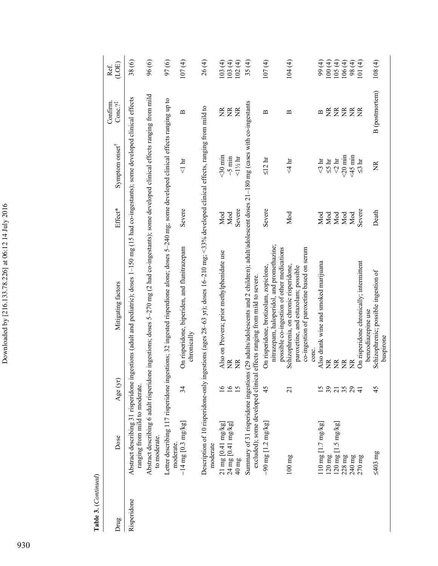| Risperidone<br>Drug                                          |                                    |                             |                                                                                                                                                                                 |                      |                                                            |                                  |                                |
|--------------------------------------------------------------|------------------------------------|-----------------------------|---------------------------------------------------------------------------------------------------------------------------------------------------------------------------------|----------------------|------------------------------------------------------------|----------------------------------|--------------------------------|
|                                                              | Dose                               | Age (yr)                    | Mitigating factors                                                                                                                                                              | Effect*              | Symptom onset <sup>†</sup>                                 | Confirm.<br>Conc. $?^{\ddagger}$ | (LOE)<br>Ref.                  |
|                                                              | ranging from mild to moderate.     |                             | Abstract describing 31 risperidone ingestions (adult and pediatric); doses 1-150 mg (15 had co-ingestants); some developed clinical effects                                     |                      |                                                            |                                  | 38(6)                          |
| to moderate.                                                 |                                    |                             | Abstract describing 6 adult risperidone ingestions; doses 5–270 mg (2 had co-ingestants); some developed clinical effects ranging from mild                                     |                      |                                                            |                                  | 96(6)                          |
| moderate.                                                    |                                    |                             | Letter describing 117 risperidone ingestions; 32 ingested risperdione alone; doses 5-240 mg; some developed clinical effects ranging up to                                      |                      |                                                            |                                  | 97(6)                          |
| $\sim$ 14 mg [0.3 mg/kg]                                     |                                    | 34                          | On risperidone, biperiden, and flunitrazepam<br>chronically                                                                                                                     | Severe               | $\frac{1}{2}$                                              | ≃                                | 107(4)                         |
| moderate                                                     |                                    |                             | Description of 10 risperidone-only ingestions (ages 28–63 yr); doses 16–210 mg; <33% developed clinical effects, ranging from mild to                                           |                      |                                                            |                                  | 26(4)                          |
| $24 \text{ mg}$ [0.41 mg/kg]<br>$21 \text{ mg}$ [0.41 mg/kg] |                                    | $\overline{16}$<br>16<br>15 | Also on Provera; prior methylphenidate use<br>ž<br>ã                                                                                                                            | Severe<br>Mod<br>Mod | $50 \text{ min}$<br>$<$ l $\frac{1}{2}$ hr<br>$\sim$ 5 min | E<br>$\widetilde{\Xi}$<br>E      | 103(4)<br>103(4)<br>102(4)     |
| 40 mg                                                        | excluded); some developed clinical |                             | Summary of 31 risperidone ingestions (29 adults/adolescents and 2 children); adult/adolescent doses 21-180 mg (cases with co-ingestants<br>effects ranging from mild to severe. |                      |                                                            |                                  | 35(4)                          |
| $\sim$ 90 mg [1.2 mg/kg]                                     |                                    | 45                          | nitrazepam, haloperidol, and promethazine;<br>possible co-ingestion of other medications<br>On risperidone, brotizolam, zopiclone,                                              | Severe               | $\leq$ 12 hr                                               | $\mathbf{\Omega}$                | 107(4)                         |
| $100 \text{ mg}$                                             |                                    | $\overline{c}$              | co-ingestion of paroxetine based on serum<br>Schizophrenia, on chronic risperidone,<br>paroxetine, and estazolam; possible<br>conc.                                             | Mod                  | $4\,\mathrm{hr}$                                           | $\mathbf{\Omega}$                | 104(4)                         |
|                                                              | $110 \text{ mg}$ [1.7 mg/kg]       | $\overline{15}$             | Also drank wine and smoked marijuana                                                                                                                                            | Mod                  | 3 <sup>hr</sup>                                            | $\mathbf{\Omega}$                | 99(4)                          |
| $120$ mg                                                     |                                    | 39                          | Ĕ                                                                                                                                                                               | Mod                  | $\leq 5$ hr                                                | ã                                | 100(4)                         |
| $120 \text{ mg}$ [1.5 mg/kg]                                 |                                    | $\overline{21}$             | Ĕ                                                                                                                                                                               | Mod                  | $< 2 \text{ hr}$                                           |                                  | 105(4)                         |
| $228$ mg                                                     |                                    | 35                          | $\widetilde{\Xi}$<br>Ž                                                                                                                                                          | Mod<br>Mod           | $<$ 20 min<br>$<45$ min                                    |                                  | 106(4)<br>98(4)                |
| $240 \text{ mg}$<br>$270$ mg                                 |                                    | 29                          | On risperidone chronically; intermittent                                                                                                                                        | Severe               | $\leq$ 3 hr                                                | 受<br>受                           | $\widehat{\mathcal{A}}$<br>101 |
| $≤403 mg$                                                    |                                    | 45                          | Schizophrenic; possible ingestion of<br>benzodiazepine use<br>buspirone                                                                                                         | Death                | $\widetilde{\Xi}$                                          | B (postmortem)                   | 108(4)                         |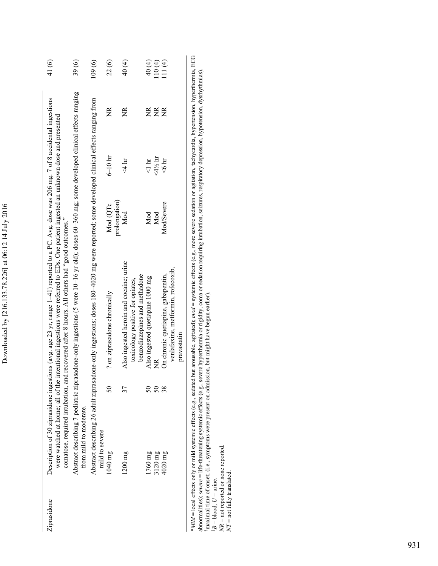| ì         |
|-----------|
| l         |
|           |
|           |
|           |
| ׇ֚        |
|           |
| I         |
| ì         |
|           |
|           |
|           |
| ١         |
| J         |
|           |
|           |
| ֕         |
| こくへん にくらい |
|           |
|           |
|           |
|           |
|           |
| l         |
| ׇ֚֘       |
|           |
| J         |
|           |
|           |
|           |
|           |
|           |
|           |
|           |
|           |
| ۱         |
|           |

| 39(6)<br>41 (6)                                                                                                                                                                                                                                                                                                                                                                                                                                                                                                              | 109 (6)                                                                                                                                 | 22(6)                        | 40(4)                                                                                                        | 40(4)                            | 110(4)             | 111(4)                                                                                  |
|------------------------------------------------------------------------------------------------------------------------------------------------------------------------------------------------------------------------------------------------------------------------------------------------------------------------------------------------------------------------------------------------------------------------------------------------------------------------------------------------------------------------------|-----------------------------------------------------------------------------------------------------------------------------------------|------------------------------|--------------------------------------------------------------------------------------------------------------|----------------------------------|--------------------|-----------------------------------------------------------------------------------------|
|                                                                                                                                                                                                                                                                                                                                                                                                                                                                                                                              |                                                                                                                                         | $\widetilde{\Xi}$            | $\widetilde{\Xi}$                                                                                            | ž                                | Ž                  | $\widetilde{\Xi}$                                                                       |
|                                                                                                                                                                                                                                                                                                                                                                                                                                                                                                                              |                                                                                                                                         | $6-10$ hr                    | $44 \text{ hr}$                                                                                              | $1 \text{ hr}$                   | $<4\frac{1}{2}$ hr | $&56 \text{ hr}$                                                                        |
|                                                                                                                                                                                                                                                                                                                                                                                                                                                                                                                              |                                                                                                                                         | prolongation)<br>Mod (QTc    | Mod                                                                                                          | Mod                              | Mod                | Mod/Severe                                                                              |
| Abstract describing 7 pediatric ziprasadone-only ingestions (5 were 10-16 yr old); doses 60-360 mg; some developed clinical effects ranging<br>Description of 30 ziprasidone ingestions (avg. age 23 yr, range 1-41) reported to a PC. Avg. dose was 206 mg. 7 of 8 accidental ingestions<br>were watched at home; all of the intentional ingestions were referred to EDs. One patient ingested an unknown dose and presented<br>comatose, required intubation, and recovered after 8 hours. All others had "good outcomes." | Abstract describing 26 adult ziprasadone-only ingestions; doses 180-4020 mg were reported; some developed clinical effects ranging from | ? on ziprasadone chronically | Also ingested heroin and cocaine; urine<br>benzodiazepines and methadone<br>toxicology positive for opiates, | Also ingested quetiapine 1000 mg |                    | venlafaxine, metformin, rotecoxib,<br>On chronic quetiapine, gabapentin,<br>pravastatın |
|                                                                                                                                                                                                                                                                                                                                                                                                                                                                                                                              |                                                                                                                                         | $\overline{50}$              |                                                                                                              | 50                               | 58                 |                                                                                         |
| from mild to moderate.                                                                                                                                                                                                                                                                                                                                                                                                                                                                                                       | mild to severe                                                                                                                          | 1040 mg                      | $1200$ mg                                                                                                    | 1760 mg                          | 3120 mg            | 4020 mg                                                                                 |
| Ziprasidone                                                                                                                                                                                                                                                                                                                                                                                                                                                                                                                  |                                                                                                                                         |                              |                                                                                                              |                                  |                    |                                                                                         |

\*Mild = local effects only or mild systemic effects (e.g., sedated but arousable, agitated); *mod* = systemic effects (e.g., more severe sedation or agitation, tachycardia, hypertension, hyperthermia, ECG aboomalities); \**Mild* = local effects only or mild systemic effects (e.g., sedated but arousable, agitated); *mod* = systemic effects (e.g., more severe sedation or agitation, tachycardia, hypertension, hyperthermia, ECG abnormalities); *severe* = life-threatening systemic effects (e.g., severe hyperthermia or rigidity, coma or sedation requiring intubation, seizures, respiratory depression, hypotension, dysrhythmias). †maximal time of onset; (i.e., symptoms were present on admission, but might have begun earlier).

 $\sharp B = \text{blood}, U = \text{urine}.$ 

 $A_B$  = blood,  $U$  = urine.<br>  $NR$  = not reported or none reported.<br>  $NT$  = not fully translated. *NR* = not reported or none reported.

*NT* = not fully translated.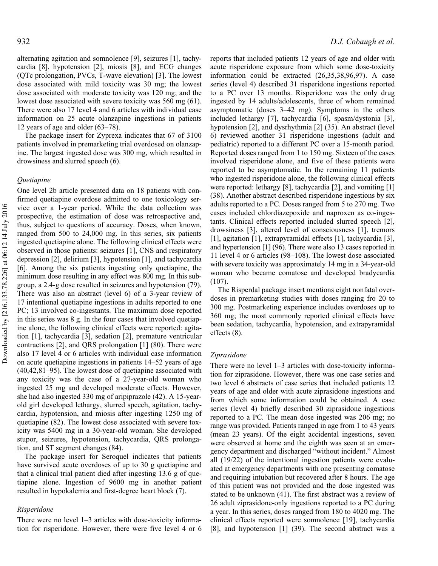alternating agitation and somnolence [9], seizures [1], tachycardia [8], hypotension [2], miosis [8], and ECG changes (QTc prolongation, PVCs, T-wave elevation) [3]. The lowest dose associated with mild toxicity was 30 mg; the lowest dose associated with moderate toxicity was 120 mg; and the lowest dose associated with severe toxicity was 560 mg (61). There were also 17 level 4 and 6 articles with individual case information on 25 acute olanzapine ingestions in patients 12 years of age and older (63–78).

The package insert for Zyprexa indicates that 67 of 3100 patients involved in premarketing trial overdosed on olanzapine. The largest ingested dose was 300 mg, which resulted in drowsiness and slurred speech (6).

#### *Quetiapine*

One level 2b article presented data on 18 patients with confirmed quetiapine overdose admitted to one toxicology service over a 1-year period. While the data collection was prospective, the estimation of dose was retrospective and, thus, subject to questions of accuracy. Doses, when known, ranged from 500 to 24,000 mg. In this series, six patients ingested quetiapine alone. The following clinical effects were observed in those patients: seizures [1], CNS and respiratory depression [2], delirium [3], hypotension [1], and tachycardia [6]. Among the six patients ingesting only quetiapine, the minimum dose resulting in any effect was 800 mg. In this subgroup, a 2.4-g dose resulted in seizures and hypotension (79). There was also an abstract (level 6) of a 3-year review of 17 intentional quetiapine ingestions in adults reported to one PC; 13 involved co-ingestants. The maximum dose reported in this series was 8 g. In the four cases that involved quetiapine alone, the following clinical effects were reported: agitation [1], tachycardia [3], sedation [2], premature ventricular contractions [2], and QRS prolongation [1] (80). There were also 17 level 4 or 6 articles with individual case information on acute quetiapine ingestions in patients 14–52 years of age (40,42,81–95). The lowest dose of quetiapine associated with any toxicity was the case of a 27-year-old woman who ingested 25 mg and developed moderate effects. However, she had also ingested 330 mg of aripiprazole (42). A 15-yearold girl developed lethargy, slurred speech, agitation, tachycardia, hypotension, and miosis after ingesting 1250 mg of quetiapine (82). The lowest dose associated with severe toxicity was 5400 mg in a 30-year-old woman. She developed stupor, seizures, hypotension, tachycardia, QRS prolongation, and ST segment changes (84).

The package insert for Seroquel indicates that patients have survived acute overdoses of up to 30 g quetiapine and that a clinical trial patient died after ingesting 13.6 g of quetiapine alone. Ingestion of 9600 mg in another patient resulted in hypokalemia and first-degree heart block (7).

#### *Risperidone*

There were no level 1–3 articles with dose-toxicity information for risperidone. However, there were five level 4 or 6

reports that included patients 12 years of age and older with acute risperidone exposure from which some dose-toxicity information could be extracted (26,35,38,96,97). A case series (level 4) described 31 risperidone ingestions reported to a PC over 13 months. Risperidone was the only drug ingested by 14 adults/adolescents, three of whom remained asymptomatic (doses 3–42 mg). Symptoms in the others included lethargy [7], tachycardia [6], spasm/dystonia [3], hypotension [2], and dysrhythmia [2] (35). An abstract (level 6) reviewed another 31 risperidone ingestions (adult and pediatric) reported to a different PC over a 15-month period. Reported doses ranged from 1 to 150 mg. Sixteen of the cases involved risperidone alone, and five of these patients were reported to be asymptomatic. In the remaining 11 patients who ingested risperidone alone, the following clinical effects were reported: lethargy [8], tachycardia [2], and vomiting [1] (38). Another abstract described risperidone ingestions by six adults reported to a PC. Doses ranged from 5 to 270 mg. Two cases included chlordiazepoxide and naproxen as co-ingestants. Clinical effects reported included slurred speech [2], drowsiness [3], altered level of consciousness [1], tremors [1], agitation [1], extrapyramidal effects [1], tachycardia [3], and hypertension [1] (96). There were also 13 cases reported in 11 level 4 or 6 articles (98–108). The lowest dose associated with severe toxicity was approximately 14 mg in a 34-year-old woman who became comatose and developed bradycardia (107).

The Risperdal package insert mentions eight nonfatal overdoses in premarketing studies with doses ranging fro 20 to 300 mg. Postmarketing experience includes overdoses up to 360 mg; the most commonly reported clinical effects have been sedation, tachycardia, hypotension, and extrapyramidal effects (8).

## *Ziprasidone*

There were no level 1–3 articles with dose-toxicity information for ziprasidone. However, there was one case series and two level 6 abstracts of case series that included patients 12 years of age and older with acute ziprasidone ingestions and from which some information could be obtained. A case series (level 4) briefly described 30 ziprasidone ingestions reported to a PC. The mean dose ingested was 206 mg; no range was provided. Patients ranged in age from 1 to 43 years (mean 23 years). Of the eight accidental ingestions, seven were observed at home and the eighth was seen at an emergency department and discharged "without incident." Almost all (19/22) of the intentional ingestion patients were evaluated at emergency departments with one presenting comatose and requiring intubation but recovered after 8 hours. The age of this patient was not provided and the dose ingested was stated to be unknown (41). The first abstract was a review of 26 adult ziprasidone-only ingestions reported to a PC during a year. In this series, doses ranged from 180 to 4020 mg. The clinical effects reported were somnolence [19], tachycardia [8], and hypotension [1] (39). The second abstract was a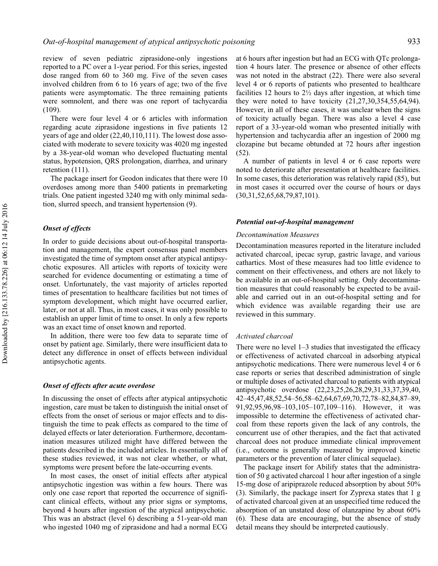review of seven pediatric ziprasidone-only ingestions reported to a PC over a 1-year period. For this series, ingested dose ranged from 60 to 360 mg. Five of the seven cases involved children from 6 to 16 years of age; two of the five patients were asymptomatic. The three remaining patients were somnolent, and there was one report of tachycardia (109).

There were four level 4 or 6 articles with information regarding acute ziprasidone ingestions in five patients 12 years of age and older (22,40,110,111). The lowest dose associated with moderate to severe toxicity was 4020 mg ingested by a 38-year-old woman who developed fluctuating mental status, hypotension, QRS prolongation, diarrhea, and urinary retention (111).

The package insert for Geodon indicates that there were 10 overdoses among more than 5400 patients in premarketing trials. One patient ingested 3240 mg with only minimal sedation, slurred speech, and transient hypertension (9).

## *Onset of effects*

In order to guide decisions about out-of-hospital transportation and management, the expert consensus panel members investigated the time of symptom onset after atypical antipsychotic exposures. All articles with reports of toxicity were searched for evidence documenting or estimating a time of onset. Unfortunately, the vast majority of articles reported times of presentation to healthcare facilities but not times of symptom development, which might have occurred earlier, later, or not at all. Thus, in most cases, it was only possible to establish an upper limit of time to onset. In only a few reports was an exact time of onset known and reported.

In addition, there were too few data to separate time of onset by patient age. Similarly, there were insufficient data to detect any difference in onset of effects between individual antipsychotic agents.

## *Onset of effects after acute overdose*

In discussing the onset of effects after atypical antipsychotic ingestion, care must be taken to distinguish the initial onset of effects from the onset of serious or major effects and to distinguish the time to peak effects as compared to the time of delayed effects or later deterioration. Furthermore, decontamination measures utilized might have differed between the patients described in the included articles. In essentially all of these studies reviewed, it was not clear whether, or what, symptoms were present before the late-occurring events.

In most cases, the onset of initial effects after atypical antipsychotic ingestion was within a few hours. There was only one case report that reported the occurrence of significant clinical effects, without any prior signs or symptoms, beyond 4 hours after ingestion of the atypical antipsychotic. This was an abstract (level 6) describing a 51-year-old man who ingested 1040 mg of ziprasidone and had a normal ECG

at 6 hours after ingestion but had an ECG with QTc prolongation 4 hours later. The presence or absence of other effects was not noted in the abstract (22). There were also several level 4 or 6 reports of patients who presented to healthcare facilities 12 hours to  $2\frac{1}{2}$  days after ingestion, at which time they were noted to have toxicity (21,27,30,354,55,64,94). However, in all of these cases, it was unclear when the signs of toxicity actually began. There was also a level 4 case report of a 33-year-old woman who presented initially with hypertension and tachycardia after an ingestion of 2000 mg clozapine but became obtunded at 72 hours after ingestion (52).

A number of patients in level 4 or 6 case reports were noted to deteriorate after presentation at healthcare facilities. In some cases, this deterioration was relatively rapid (85), but in most cases it occurred over the course of hours or days (30,31,52,65,68,79,87,101).

#### *Potential out-of-hospital management*

#### *Decontamination Measures*

Decontamination measures reported in the literature included activated charcoal, ipecac syrup, gastric lavage, and various cathartics. Most of these measures had too little evidence to comment on their effectiveness, and others are not likely to be available in an out-of-hospital setting. Only decontamination measures that could reasonably be expected to be available and carried out in an out-of-hospital setting and for which evidence was available regarding their use are reviewed in this summary.

#### *Activated charcoal*

There were no level 1–3 studies that investigated the efficacy or effectiveness of activated charcoal in adsorbing atypical antipsychotic medications. There were numerous level 4 or 6 case reports or series that described administration of single or multiple doses of activated charcoal to patients with atypical antipsychotic overdose (22,23,25,26,28,29,31,33,37,39,40, 42–45,47,48,52,54–56,58–62,64,67,69,70,72,78–82,84,87–89, 91,92,95,96,98–103,105–107,109–116). However, it was impossible to determine the effectiveness of activated charcoal from these reports given the lack of any controls, the concurrent use of other therapies, and the fact that activated charcoal does not produce immediate clinical improvement (i.e., outcome is generally measured by improved kinetic parameters or the prevention of later clinical sequelae).

The package insert for Abilify states that the administration of 50 g activated charcoal 1 hour after ingestion of a single 15-mg dose of aripiprazole reduced absorption by about 50% (3). Similarly, the package insert for Zyprexa states that 1 g of activated charcoal given at an unspecified time reduced the absorption of an unstated dose of olanzapine by about 60% (6). These data are encouraging, but the absence of study detail means they should be interpreted cautiously.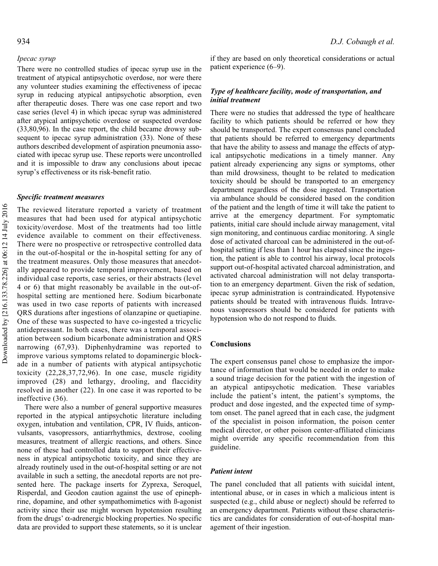#### *Ipecac syrup*

There were no controlled studies of ipecac syrup use in the treatment of atypical antipsychotic overdose, nor were there any volunteer studies examining the effectiveness of ipecac syrup in reducing atypical antipsychotic absorption, even after therapeutic doses. There was one case report and two case series (level 4) in which ipecac syrup was administered after atypical antipsychotic overdose or suspected overdose (33,80,96). In the case report, the child became drowsy subsequent to ipecac syrup administration (33). None of these authors described development of aspiration pneumonia associated with ipecac syrup use. These reports were uncontrolled and it is impossible to draw any conclusions about ipecac syrup's effectiveness or its risk-benefit ratio.

#### *Specific treatment measures*

The reviewed literature reported a variety of treatment measures that had been used for atypical antipsychotic toxicity/overdose. Most of the treatments had too little evidence available to comment on their effectiveness. There were no prospective or retrospective controlled data in the out-of-hospital or the in-hospital setting for any of the treatment measures. Only those measures that anecdotally appeared to provide temporal improvement, based on individual case reports, case series, or their abstracts (level 4 or 6) that might reasonably be available in the out-ofhospital setting are mentioned here. Sodium bicarbonate was used in two case reports of patients with increased QRS durations after ingestions of olanzapine or quetiapine. One of these was suspected to have co-ingested a tricyclic antidepressant. In both cases, there was a temporal association between sodium bicarbonate administration and QRS narrowing (67,93). Diphenhydramine was reported to improve various symptoms related to dopaminergic blockade in a number of patients with atypical antipsychotic toxicity (22,28,37,72,96). In one case, muscle rigidity improved (28) and lethargy, drooling, and flaccidity resolved in another (22). In one case it was reported to be ineffective (36).

There were also a number of general supportive measures reported in the atypical antipsychotic literature including oxygen, intubation and ventilation, CPR, IV fluids, anticonvulsants, vasopressors, antiarrhythmics, dextrose, cooling measures, treatment of allergic reactions, and others. Since none of these had controlled data to support their effectiveness in atypical antipsychotic toxicity, and since they are already routinely used in the out-of-hospital setting or are not available in such a setting, the anecdotal reports are not presented here. The package inserts for Zyprexa, Seroquel, Risperdal, and Geodon caution against the use of epinephrine, dopamine, and other sympathomimetics with ß-agonist activity since their use might worsen hypotension resulting from the drugs' α-adrenergic blocking properties. No specific data are provided to support these statements, so it is unclear

if they are based on only theoretical considerations or actual patient experience (6–9).

## *Type of healthcare facility, mode of transportation, and initial treatment*

There were no studies that addressed the type of healthcare facility to which patients should be referred or how they should be transported. The expert consensus panel concluded that patients should be referred to emergency departments that have the ability to assess and manage the effects of atypical antipsychotic medications in a timely manner. Any patient already experiencing any signs or symptoms, other than mild drowsiness, thought to be related to medication toxicity should be should be transported to an emergency department regardless of the dose ingested. Transportation via ambulance should be considered based on the condition of the patient and the length of time it will take the patient to arrive at the emergency department. For symptomatic patients, initial care should include airway management, vital sign monitoring, and continuous cardiac monitoring. A single dose of activated charcoal can be administered in the out-ofhospital setting if less than 1 hour has elapsed since the ingestion, the patient is able to control his airway, local protocols support out-of-hospital activated charcoal administration, and activated charcoal administration will not delay transportation to an emergency department. Given the risk of sedation, ipecac syrup administration is contraindicated. Hypotensive patients should be treated with intravenous fluids. Intravenous vasopressors should be considered for patients with hypotension who do not respond to fluids.

## **Conclusions**

The expert consensus panel chose to emphasize the importance of information that would be needed in order to make a sound triage decision for the patient with the ingestion of an atypical antipsychotic medication. These variables include the patient's intent, the patient's symptoms, the product and dose ingested, and the expected time of symptom onset. The panel agreed that in each case, the judgment of the specialist in poison information, the poison center medical director, or other poison center-affiliated clinicians might override any specific recommendation from this guideline.

#### *Patient intent*

The panel concluded that all patients with suicidal intent, intentional abuse, or in cases in which a malicious intent is suspected (e.g., child abuse or neglect) should be referred to an emergency department. Patients without these characteristics are candidates for consideration of out-of-hospital management of their ingestion.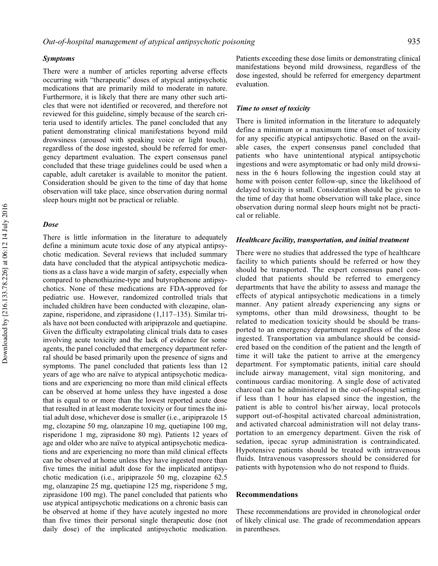#### *Symptoms*

There were a number of articles reporting adverse effects occurring with "therapeutic" doses of atypical antipsychotic medications that are primarily mild to moderate in nature. Furthermore, it is likely that there are many other such articles that were not identified or recovered, and therefore not reviewed for this guideline, simply because of the search criteria used to identify articles. The panel concluded that any patient demonstrating clinical manifestations beyond mild drowsiness (aroused with speaking voice or light touch), regardless of the dose ingested, should be referred for emergency department evaluation. The expert consensus panel concluded that these triage guidelines could be used when a capable, adult caretaker is available to monitor the patient. Consideration should be given to the time of day that home observation will take place, since observation during normal sleep hours might not be practical or reliable.

## *Dose*

There is little information in the literature to adequately define a minimum acute toxic dose of any atypical antipsychotic medication. Several reviews that included summary data have concluded that the atypical antipsychotic medications as a class have a wide margin of safety, especially when compared to phenothiazine-type and butyrophenone antipsychotics. None of these medications are FDA-approved for pediatric use. However, randomized controlled trials that included children have been conducted with clozapine, olanzapine, risperidone, and ziprasidone (1,117–135). Similar trials have not been conducted with aripiprazole and quetiapine. Given the difficulty extrapolating clinical trials data to cases involving acute toxicity and the lack of evidence for some agents, the panel concluded that emergency department referral should be based primarily upon the presence of signs and symptoms. The panel concluded that patients less than 12 years of age who are naïve to atypical antipsychotic medications and are experiencing no more than mild clinical effects can be observed at home unless they have ingested a dose that is equal to or more than the lowest reported acute dose that resulted in at least moderate toxicity or four times the initial adult dose, whichever dose is smaller (i.e., aripiprazole 15 mg, clozapine 50 mg, olanzapine 10 mg, quetiapine 100 mg, risperidone 1 mg, ziprasidone 80 mg). Patients 12 years of age and older who are naïve to atypical antipsychotic medications and are experiencing no more than mild clinical effects can be observed at home unless they have ingested more than five times the initial adult dose for the implicated antipsychotic medication (i.e., aripiprazole 50 mg, clozapine 62.5 mg, olanzapine 25 mg, quetiapine 125 mg, risperidone 5 mg, ziprasidone 100 mg). The panel concluded that patients who use atypical antipsychotic medications on a chronic basis can be observed at home if they have acutely ingested no more than five times their personal single therapeutic dose (not daily dose) of the implicated antipsychotic medication. Patients exceeding these dose limits or demonstrating clinical manifestations beyond mild drowsiness, regardless of the dose ingested, should be referred for emergency department evaluation.

#### *Time to onset of toxicity*

There is limited information in the literature to adequately define a minimum or a maximum time of onset of toxicity for any specific atypical antipsychotic. Based on the available cases, the expert consensus panel concluded that patients who have unintentional atypical antipsychotic ingestions and were asymptomatic or had only mild drowsiness in the 6 hours following the ingestion could stay at home with poison center follow-up, since the likelihood of delayed toxicity is small. Consideration should be given to the time of day that home observation will take place, since observation during normal sleep hours might not be practical or reliable.

#### *Healthcare facility, transportation, and initial treatment*

There were no studies that addressed the type of healthcare facility to which patients should be referred or how they should be transported. The expert consensus panel concluded that patients should be referred to emergency departments that have the ability to assess and manage the effects of atypical antipsychotic medications in a timely manner. Any patient already experiencing any signs or symptoms, other than mild drowsiness, thought to be related to medication toxicity should be should be transported to an emergency department regardless of the dose ingested. Transportation via ambulance should be considered based on the condition of the patient and the length of time it will take the patient to arrive at the emergency department. For symptomatic patients, initial care should include airway management, vital sign monitoring, and continuous cardiac monitoring. A single dose of activated charcoal can be administered in the out-of-hospital setting if less than 1 hour has elapsed since the ingestion, the patient is able to control his/her airway, local protocols support out-of-hospital activated charcoal administration, and activated charcoal administration will not delay transportation to an emergency department. Given the risk of sedation, ipecac syrup administration is contraindicated. Hypotensive patients should be treated with intravenous fluids. Intravenous vasopressors should be considered for patients with hypotension who do not respond to fluids.

### **Recommendations**

These recommendations are provided in chronological order of likely clinical use. The grade of recommendation appears in parentheses.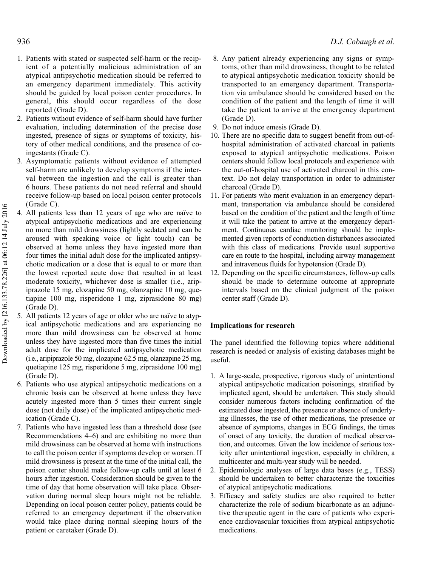- 1. Patients with stated or suspected self-harm or the recipient of a potentially malicious administration of an atypical antipsychotic medication should be referred to an emergency department immediately. This activity should be guided by local poison center procedures. In general, this should occur regardless of the dose reported (Grade D).
- 2. Patients without evidence of self-harm should have further evaluation, including determination of the precise dose ingested, presence of signs or symptoms of toxicity, history of other medical conditions, and the presence of coingestants (Grade C).
- 3. Asymptomatic patients without evidence of attempted self-harm are unlikely to develop symptoms if the interval between the ingestion and the call is greater than 6 hours. These patients do not need referral and should receive follow-up based on local poison center protocols (Grade C).
- 4. All patients less than 12 years of age who are naïve to atypical antipsychotic medications and are experiencing no more than mild drowsiness (lightly sedated and can be aroused with speaking voice or light touch) can be observed at home unless they have ingested more than four times the initial adult dose for the implicated antipsychotic medication or a dose that is equal to or more than the lowest reported acute dose that resulted in at least moderate toxicity, whichever dose is smaller (i.e., aripiprazole 15 mg, clozapine 50 mg, olanzapine 10 mg, quetiapine 100 mg, risperidone 1 mg, ziprasidone 80 mg) (Grade D).
- 5. All patients 12 years of age or older who are naïve to atypical antipsychotic medications and are experiencing no more than mild drowsiness can be observed at home unless they have ingested more than five times the initial adult dose for the implicated antipsychotic medication (i.e., aripiprazole 50 mg, clozapine 62.5 mg, olanzapine 25 mg, quetiapine 125 mg, risperidone 5 mg, ziprasidone 100 mg) (Grade D).
- 6. Patients who use atypical antipsychotic medications on a chronic basis can be observed at home unless they have acutely ingested more than 5 times their current single dose (not daily dose) of the implicated antipsychotic medication (Grade C).
- 7. Patients who have ingested less than a threshold dose (see Recommendations 4–6) and are exhibiting no more than mild drowsiness can be observed at home with instructions to call the poison center if symptoms develop or worsen. If mild drowsiness is present at the time of the initial call, the poison center should make follow-up calls until at least 6 hours after ingestion. Consideration should be given to the time of day that home observation will take place. Observation during normal sleep hours might not be reliable. Depending on local poison center policy, patients could be referred to an emergency department if the observation would take place during normal sleeping hours of the patient or caretaker (Grade D).
- 8. Any patient already experiencing any signs or symptoms, other than mild drowsiness, thought to be related to atypical antipsychotic medication toxicity should be transported to an emergency department. Transportation via ambulance should be considered based on the condition of the patient and the length of time it will take the patient to arrive at the emergency department (Grade D).
- 9. Do not induce emesis (Grade D).
- 10. There are no specific data to suggest benefit from out-ofhospital administration of activated charcoal in patients exposed to atypical antipsychotic medications. Poison centers should follow local protocols and experience with the out-of-hospital use of activated charcoal in this context. Do not delay transportation in order to administer charcoal (Grade D).
- 11. For patients who merit evaluation in an emergency department, transportation via ambulance should be considered based on the condition of the patient and the length of time it will take the patient to arrive at the emergency department. Continuous cardiac monitoring should be implemented given reports of conduction disturbances associated with this class of medications. Provide usual supportive care en route to the hospital, including airway management and intravenous fluids for hypotension (Grade D).
- 12. Depending on the specific circumstances, follow-up calls should be made to determine outcome at appropriate intervals based on the clinical judgment of the poison center staff (Grade D).

## **Implications for research**

The panel identified the following topics where additional research is needed or analysis of existing databases might be useful.

- 1. A large-scale, prospective, rigorous study of unintentional atypical antipsychotic medication poisonings, stratified by implicated agent, should be undertaken. This study should consider numerous factors including confirmation of the estimated dose ingested, the presence or absence of underlying illnesses, the use of other medications, the presence or absence of symptoms, changes in ECG findings, the times of onset of any toxicity, the duration of medical observation, and outcomes. Given the low incidence of serious toxicity after unintentional ingestion, especially in children, a multicenter and multi-year study will be needed.
- 2. Epidemiologic analyses of large data bases (e.g., TESS) should be undertaken to better characterize the toxicities of atypical antipsychotic medications.
- 3. Efficacy and safety studies are also required to better characterize the role of sodium bicarbonate as an adjunctive therapeutic agent in the care of patients who experience cardiovascular toxicities from atypical antipsychotic medications.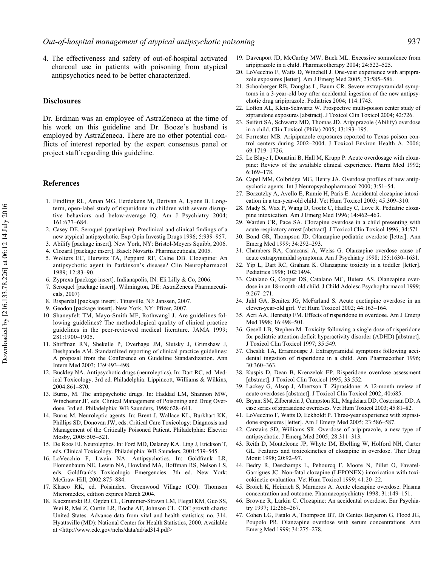4. The effectiveness and safety of out-of-hospital activated charcoal use in patients with poisoning from atypical antipsychotics need to be better characterized.

#### **Disclosures**

Dr. Erdman was an employee of AstraZeneca at the time of his work on this guideline and Dr. Booze's husband is employed by AstraZeneca. There are no other potential conflicts of interest reported by the expert consensus panel or project staff regarding this guideline.

#### **References**

- 1. Findling RL, Aman MG, Eerdekens M, Derivan A, Lyons B. Longterm, open-label study of risperidone in children with severe disruptive behaviors and below-average IQ. Am J Psychiatry 2004; 161:677–684.
- 2. Casey DE. Seroquel (quetiapine): Preclinical and clinical findings of a new atypical antipsychotic. Exp Opin Investig Drugs 1996; 5:939–957.
- 3. Abilify [package insert]. New York, NY: Bristol-Meyers Squibb, 2006.
- 4. Clozaril [package insert]. Basel: Novartis Pharmaceuticals, 2005.
- 5. Wolters EC, Hurwitz TA, Peppard RF, Calne DB. Clozapine: An antipsychotic agent in Parkinson's disease? Clin Neuropharmacol 1989; 12:83–90.
- 6. Zyprexa [package insert]. Indianapolis, IN: Eli Lilly & Co, 2006.
- 7. Seroquel [package insert]. Wilmington, DE: AstraZeneca Pharmaceuticals, 2007)
- 8. Risperdal [package insert]. Titusville, NJ: Janssen, 2007.
- 9. Geodon [package insert]. New York, NY: Pfizer, 2007.
- 10. Shaneyfelt TM, Mayo-Smith MF, Rothwangl J. Are guidelines following guidelines? The methodological quality of clinical practice guidelines in the peer-reviewed medical literature. JAMA 1999; 281:1900–1905.
- 11. Shiffman RN, Shekelle P, Overhage JM, Slutsky J, Grimshaw J, Deshpande AM. Standardized reporting of clinical practice guidelines: A proposal from the Conference on Guideline Standardization. Ann Intern Med 2003; 139:493–498.
- 12. Buckley NA. Antipsychotic drugs (neuroleptics). In: Dart RC, ed. Medical Toxicology. 3rd ed. Philadelphia: Lippincott, Williams & Wilkins, 2004:861–870.
- 13. Burns, M. The antipsychotic drugs. In: Haddad LM, Shannon MW, Winchester JF, eds. Clinical Management of Poisoning and Drug Overdose. 3rd ed. Philadelphia: WB Saunders, 1998:628–641.
- 14. Burns M. Neuroleptic agents. In: Brent J, Wallace KL, Burkhart KK, Phillips SD, Donovan JW, eds. Critical Care Toxicology: Diagnosis and Management of the Critically Poisoned Patient. Philadelphia: Elsevier Mosby, 2005:505–521.
- 15. De Roos FJ. Neuroleptics. In: Ford MD, Delaney KA. Ling J, Erickson T, eds. Clinical Toxicology. Philadelphia: WB Saunders, 2001:539–545.
- 16. LoVecchio F, Lwein NA. Antipsychotics. In: Goldfrank LR, Flomenbaum NE, Lewin NA, Howland MA, Hoffman RS, Nelson LS, eds. Goldfrank's Toxicologic Emergencies. 7th ed. New York: McGraw-Hill, 2002:875–884.
- 17. Klasco RK, ed. Poisindex. Greenwood Village (CO): Thomson Micromedex, edition expires March 2004.
- 18. Kuczmarski RJ, Ogden CL, Grummer-Strawn LM, Flegal KM, Guo SS, Wei R, Mei Z, Curtin LR, Roche AF, Johnson CL. CDC growth charts: United States. Advance data from vital and health statistics; no. 314. Hyattsville (MD): National Center for Health Statistics, 2000. Available at <http://www.cdc.gov/nchs/data/ad/ad314.pdf>
- 19. Davenport JD, McCarthy MW, Buck ML. Excessive somnolence from aripiprazole in a child. Pharmacotherapy 2004; 24:522–525.
- 20. LoVecchio F, Watts D, Winchell J. One-year experience with aripiprazole exposures [letter]. Am J Emerg Med 2005; 23:585–586.
- 21. Schonberger RB, Douglas L, Baum CR. Severe extrapyramidal symptoms in a 3-year-old boy after accidental ingestion of the new antipsychotic drug aripiprazole. Pediatrics 2004; 114:1743.
- 22. Lofton AL, Klein-Schwartz W. Prospective multi-poison center study of ziprasidone exposures [abstract]. J Toxicol Clin Toxicol 2004; 42:726.
- 23. Seifert SA, Schwartz MD, Thomas JD. Aripiprazole (Abilify) overdose in a child. Clin Toxicol (Phila) 2005; 43:193–195.
- 24. Forrester MB. Aripiprazole exposures reported to Texas poison control centers during 2002–2004. J Toxicol Environ Health A. 2006; 69:1719–1726.
- 25. Le Blaye I, Donatini B, Hall M, Krupp P. Acute overdosage with clozapine: Review of the available clinical experience. Pharm Med 1992; 6:169–178.
- 26. Capel MM, Colbridge MG, Henry JA. Overdose profiles of new antipsychotic agents. Int J Neuropsychopharmacol 2000; 3:51–54.
- 27. Borzutzky A, Avello E, Rumie H, Paris E. Accidental clozapine intoxication in a ten-year-old child. Vet Hum Toxicol 2003; 45:309–310.
- 28. Mady S, Wax P, Wang D, Goetz C, Hadley C, Love R. Pediatric clozapine intoxication. Am J Emerg Med 1996; 14:462–463.
- 29. Warden CR, Pace SA. Clozapine overdose in a child presenting with acute respiratory arrest [abstract]. J Toxicol Clin Toxicol 1996; 34:571.
- 30. Bond GR, Thompson JD. Olanzapine pediatric overdose [letter]. Ann Emerg Med 1999; 34:292–293.
- 31. Chambers RA, Caracansi A, Weiss G. Olanzapine overdose cause of acute extrapyramidal symptoms. Am J Psychiatry 1998; 155:1630–1631.
- 32. Yip L, Dart RC, Graham K. Olanzapine toxicity in a toddler [letter]. Pediatrics 1998; 102:1494.
- 33. Catalano G, Cooper DS, Catalano MC, Butera AS. Olanzapine overdose in an 18-month-old child. J Child Adolesc Psychopharmacol 1999; 9:267–271.
- 34. Juhl GA, Benitez JG, McFarland S. Acute quetiapine overdose in an eleven-year-old girl. Vet Hum Toxicol 2002; 44:163–164.
- 35. Acri AA, Henretig FM. Effects of risperidone in overdose. Am J Emerg Med 1998; 16:498–501.
- 36. Gesell LB, Stephen M. Toxicity following a single dose of risperidone for pediatric attention deficit hyperactivity disorder (ADHD) [abstract]. J Toxicol Clin Toxicol 1997; 35:549.
- 37. Cheslik TA, Erramouspe J. Extrapyramidal symptoms following accidental ingestion of risperidone in a child. Ann Pharmacother 1996; 30:360–363.
- 38. Kuspis D, Dean B, Krenzelok EP. Risperidone overdose assessment [abstract]. J Toxicol Clin Toxicol 1995; 33:552.
- 39. Lackey G, Alsop J, Albertson T. Ziprasidone: A 12-month review of acute overdoses [abstract]. J Toxicol Clin Toxicol 2002; 40:685.
- 40. Bryant SM, Zilberstein J, Cumpston KL, Magdziarz DD, Costerisan DD. A case series of ziprasidone overdoses. Vet Hum Toxicol 2003; 45:81–82.
- 41. LoVecchio F, Watts D, Eckholdt P. Three-year experience with ziprasidone exposures [letter]. Am J Emerg Med 2005; 23:586–587.
- 42. Carstairs SD, Williams SR. Overdose of aripiprazole, a new type of antipsychotic. J Emerg Med 2005; 28:311–313.
- 43. Reith D, Monteleone JP, Whyte IM, Ebelling W, Holford NH, Carter GL. Features and toxicokinetics of clozapine in overdose. Ther Drug Monit 1998; 20:92–97.
- 44. Bedry R, Deschamps L, Pehourcq F, Moore N, Pillet O, Favarel-Garrigues JC. Non-fatal clozapine (LEPONEX) intoxication with toxicokinetic evaluation. Vet Hum Toxicol 1999; 41:20–22.
- 45. Broich K, Heinrich S, Marneros A. Acute clozapine overdose: Plasma concentration and outcome. Pharmacopsychiatry 1998; 31:149–151.
- 46. Browne R, Larkin C. Clozapine: An accidental overdose. Eur Psychiatry 1997; 12:266–267.
- 47. Cohen LG, Fatalo A, Thompson BT, Di Centes Bergeron G, Flood JG, Poupolo PR. Olanzapine overdose with serum concentrations. Ann Emerg Med 1999; 34:275–278.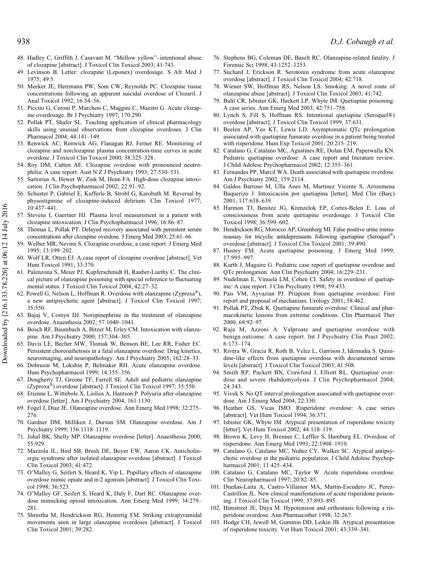- 48. Hadley C, Griffith J, Casavant M. "Mellow yellow"–intentional abuse of clozapine [abstract]. J Toxicol Clin Toxicol 2003; 41:743.
- 49. Levinson B. Letter: clozapine (Leponex) overdosage. S Afr Med J 1975; 49:5.
- 50. Meeker JE, Herrmann PW, Som CW, Reynolds PC. Clozapine tissue concentrations following an apparent suicidal overdose of Clozaril. J Anal Toxicol 1992; 16:54–56.
- 51. Piccini G, Ceroni P, Marchesi C, Maggini C, Maestri G. Acute clozapine overdosage. Br J Psychiatry 1997; 170:290.
- 52. Pollak PT, Shafer SL. Teaching application of clinical pharmacology skills using unusual observations from clozapine overdoses. J Clin Pharmacol 2004; 44:141–149.
- 53. Renwick AC, Renwick AG, Flanagan RJ, Ferner RE. Monitoring of clozapine and norclozapine plasma concentration-time curves in acute overdose. J Toxicol Clin Toxicol 2000; 38:325–328.
- 54. Roy DM, Cutten AE. Clozapine overdose with pronounced neutrophilia: A case report. Aust N Z J Psychiatry 1993; 27:530–531.
- 55. Sartorius A, Hewer W, Zink M, Henn FA. High-dose clozapine intoxication. J Clin Psychopharmacol 2002; 22:91–92.
- 56. Schuster P, Gabriel E, Kufferle B, Strobl G, Karobath M. Reversal by physostigmine of clozapine-induced delirium. Clin Toxicol 1977; 10:437–441.
- 57. Stevens I, Gaertner HJ. Plasma level measurement in a patient with clozapine intoxication. J Clin Psychopharmacol 1996; 16:86–87.
- Thomas L, Pollak PT. Delayed recovery associated with persistent serum concentrations after clozapine overdose. J Emerg Med 2003; 25:61–66.
- 59. Welber MR, Nevins S. Clozapine overdose, a case report. J Emerg Med 1995; 13:199–202.
- Wolf LR, Otten EJ. A case report of clozapine overdose [abstract]. Vet Hum Toxicol 1991; 33:370.
- 61. Palenzona S, Meier PJ, Kupferschmidt H, Rauber-Luethy C. The clinical picture of olanzapine poisoning with special reference to fluctuating mental status. J Toxicol Clin Toxicol 2004; 42:27–32.
- 62. Powell G, Nelson L, Hoffman R. Overdose with olanzapine (Zyprexa®), a new antipsychotic agent [abstract]. J Toxicol Clin Toxicol 1997; 35:550.
- 63. Bajaj V, Comyn DJ. Norepinephrine in the treatment of olanzapine overdose. Anaesthesia 2002; 57:1040–1041.
- 64. Bosch RF, Baumbach A, Bitzer M, Erley CM. Intoxication with olanzapine. Am J Psychiatry 2000; 157:304–305.
- 65. Davis LE, Becher MW, Tlomak W, Benson BE, Lee RR, Fisher EC. Persistent choreoathetosis in a fatal olanzapine overdose: Drug kinetics, neuroimaging, and neuropathology. Am J Psychiatry 2005; 162:28–33.
- 66. Dobrusin M, Lokshin P, Belmaker RH. Acute olanzapine overdose. Hum Psychopharmacol 1999; 14:355–356.
- 67. Dougherty TJ, Greene TF, Farrell SE. Adult and pediatric olanzapine (Zyprexa®) overdose [abstract]. J Toxicol Clin Toxicol 1997; 35:550.
- 68. Etienne L, Wittebole X, Liolios A, Hantson P. Polyuria after olanzapine overdose [letter]. Am J Psychiatry 2004; 161:1130.
- 69. Fogel J, Diaz JE. Olanzapine overdose. Ann Emerg Med 1998; 32:275– 276.
- 70. Gardner DM, Milliken J, Dursun SM. Olanzapine overdose. Am J Psychiatry 1999; 156:1118–1119.
- 71. Johal BK, Shelly MP. Olanzapine overdose [letter]. Anaesthesia 2000; 55:929.
- 72. Mazzola JL, Bird SB, Brush DE, Boyer EW, Aaron CK. Anticholinergic syndrome after isolated olanzapine overdose [abstract]. J Toxicol Clin Toxicol 2003; 41:472.
- 73. O'Malley G, Seifert S, Heard K, Yip L. Pupillary effects of olanzapine overdose mimic opiate and α-2 agonists [abstract]. J Toxicol Clin Toxicol 1998; 36:523.
- 74. O'Malley GF, Seifert S, Heard K, Daly F, Dart RC. Olanzapine overdose mimicking opioid intoxication. Ann Emerg Med 1999; 34:279– 281.
- 75. Shrestha M, Hendrickson RG, Henretig FM. Striking extrapyramidal movements seen in large olanzapine overdoses [abstract]. J Toxicol Clin Toxicol 2001; 39:282.
- 76. Stephens BG, Coleman DE, Baselt RC. Olanzapine-related fatality. J Forensic Sci 1998; 43:1252–1253.
- 77. Suchard J, Erickson R. Serotonin syndrome from acute olanzapine overdose [abstract]. J Toxicol Clin Toxicol 2004; 42:718.
- 78. Wiener SW, Hoffman RS, Nelson LS. Smoking: A novel route of olanzapine abuse [abstract]. J Toxicol Clin Toxicol 2003; 41:742.
- 79. Balit CR, Isbister GK, Hackett LP, Whyte IM. Quetiapine poisoning: A case series. Ann Emerg Med 2003; 42:751–758.
- 80. Lynch S, Fill S, Hoffman RS. Intentional quetiapine (Seroquel®) overdose [abstract]. J Toxicol Clin Toxicol 1999; 37:631.
- 81. Beelen AP, Yeo KT, Lewis LD. Asymptomatic QTc prolongation associated with quetiapine fumarate overdose in a patient being treated with risperidone. Hum Exp Toxicol 2001; 20:215–219.
- 82. Catalano G, Catalano MC, Agustines RE, Dolan EM, Paperwalla KN. Pediatric quetiapine overdose: A case report and literature review. J Child Adolesc Psychopharmacol 2002; 12:355–361.
- 83. Fernandes PP, Marcil WA. Death associated with quetiapine overdose. Am J Psychiatry 2002; 159:2114.
- 84. Galdos Barroso M, Ulla Anes M, Martinez Vicente S, Arozemena Baquerizo J. Intoxicación por quetiapina [letter]. Med Clin (Barc) 2001; 117:638–639.
- 85. Harmon TJ, Benitez JG, Krenzelok EP, Cortes-Belen E. Loss of consciousness from acute quetiapine overdosage. J Toxicol Clin Toxicol 1998; 36:599–602.
- 86. Hendrickson RG, Morocco AP, Greenberg MI. False positive urine immunoassay for tricyclic antidepressants following quetiapine (Seroquel® ) overdose [abstract]. J Toxicol Clin Toxicol 2001; 39:490.
- 87. Hustey FM. Acute quetiapine poisoning. J Emerg Med 1999; 17:995–997.
- 88. Kurth J, Maguire G. Pediatric case report of quetiapine overdose and QTc prolongation. Ann Clin Psychiatry 2004; 16:229–231.
- 89. Nudelman E, Vinuela LM, Cohen CI. Safety in overdose of quetiapine: A case report. J Clin Psychiatry 1998; 59:433.
- 90. Pais VM, Ayvazian PJ. Priapism from quetiapine overdose: First report and proposal of mechanism. Urology 2001; 58:462.
- 91. Pollak PT, Zbuk K. Quetiapine fumarate overdose: Clinical and pharmacokinetic lessons from extreme conditions. Clin Pharmacol Ther 2000; 68:92–97.
- 92. Raja M, Azzoni A. Valproate and quetiapine overdose with benign outcome: A case report. Int J Psychiatry Clin Pract 2002; 6:173–174.
- 93. Rivera W, Gracia R, Roth B, Velez L, Garrison J, Idemudia S. Quinidine-like effects from quetiapine overdose with documented serum levels [abstract]. J Toxicol Clin Toxicol 2003; 41:508.
- 94. Smith RP, Puckett BN, Crawford J, Elliott RL. Quetiapine overdose and severe rhabdomyolysis. J Clin Psychopharmacol 2004; 24:343.
- 95. Vivek S. No QT interval prolongation associated with quetiapine overdose. Am J Emerg Med 2004; 22:330.
- 96. Heather GS, Vicas IMO. Risperidone overdose: A case series [abstract]. Vet Hum Toxicol 1994; 36:371.
- 97. Isbister GK, Whyte IM. Atypical presentation of risperidone toxicity [letter]. Vet Hum Toxicol 2002; 44:118–119.
- 98. Brown K, Levy H, Brenner C, Leffler S, Hamburg EL. Overdose of risperidone. Ann Emerg Med 1993; 22:1908–1910.
- 99. Catalano G, Catalano MC, Nuñez CY, Walker SC. Atypical antipsychotic overdose in the pediatric population. J Child Adolesc Psychopharmacol 2001; 11:425–434.
- 100. Catalano G, Catalano MC, Taylor W. Acute risperidone overdose. Clin Neuropharmacol 1997; 20:82–85.
- 101. Dueñas-Laita A, Castro-Villamor MA, Martin-Escudero JC, Perez-Castrillon JL. New clinical manifestations of acute risperidone poisoning. J Toxicol Clin Toxicol 1999; 37:893–895.
- 102. Himstreet JE, Daya M. Hypotension and orthostasis following a risperidone overdose. Ann Pharmacother 1998; 32:267.
- 103. Hodge CH, Jewell M, Gummin DD, Leikin JB. Atypical presentation of risperidone toxicity. Vet Hum Toxicol 2001; 43:339–341.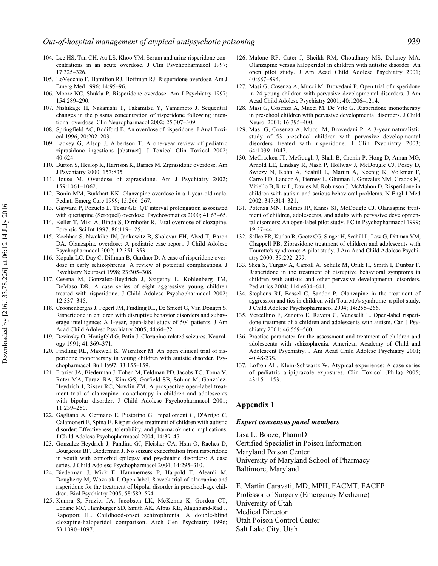- 104. Lee HS, Tan CH, Au LS, Khoo YM. Serum and urine risperidone concentrations in an acute overdose. J Clin Psychopharmacol 1997; 17:325–326.
- 105. LoVecchio F, Hamilton RJ, Hoffman RJ. Risperidone overdose. Am J Emerg Med 1996; 14:95–96.
- 106. Moore NC, Shukla P. Risperidone overdose. Am J Psychiatry 1997; 154:289–290.
- 107. Nishikage H, Nakanishi T, Takamitsu Y, Yamamoto J. Sequential changes in the plasma concentration of risperidone following intentional overdose. Clin Neuropharmacol 2002; 25:307–309.
- 108. Springfield AC, Bodiford E. An overdose of risperidone. J Anal Toxicol 1996; 20:202–203.
- 109. Lackey G, Alsop J, Albertson T. A one-year review of pediatric ziprasidone ingestions [abstract]. J Toxicol Clin Toxicol 2002; 40:624.
- 110. Burton S, Heslop K, Harrison K, Barnes M. Ziprasidone overdose. Am J Psychiatry 2000; 157:835.
- 111. House M. Overdose of ziprasidone. Am J Psychiatry 2002; 159:1061–1062.
- 112. Bonin MM, Burkhart KK. Olanzapine overdose in a 1-year-old male. Pediatr Emerg Care 1999; 15:266–267.
- 113. Gajwani P, Pozuelo L, Tesar GE. QT interval prolongation associated with quetiapine (Seroquel) overdose. Psychosomatics 2000; 41:63–65.
- 114. Keller T, Miki A, Binda S, Dirnhofer R. Fatal overdose of clozapine. Forensic Sci Int 1997; 86:119–125.
- 115. Kochhar S, Nwokike JN, Jankowitz B, Sholevar EH, Abed T, Baron DA. Olanzapine overdose: A pediatric case report. J Child Adolesc Psychopharmacol 2002; 12:351–353.
- 116. Kopala LC, Day C, Dillman B, Gardner D. A case of risperidone overdose in early schizophrenia: A review of potential complications. J Psychiatry Neurosci 1998; 23:305–308.
- 117. Cesena M, Gonzalez-Heydrich J, Szigethy E, Kohlenberg TM, DeMaso DR. A case series of eight aggressive young children treated with risperidone. J Child Adolesc Psychopharmacol 2002; 12:337–345.
- 118. Croonenberghs J, Fegert JM, Findling RL, De Smedt G, Van Dongen S. Risperidone in children with disruptive behavior disorders and subaverage intelligence: A 1-year, open-label study of 504 patients. J Am Acad Child Adolesc Psychiatry 2005; 44:64–72.
- 119. Devinsky O, Honigfeld G, Patin J. Clozapine-related seizures. Neurology 1991; 41:369–371.
- 120. Findling RL, Maxwell K, Wiznitzer M. An open clinical trial of risperidone monotherapy in young children with autistic disorder. Psychopharmacol Bull 1997; 33:155–159.
- 121. Frazier JA, Biederman J, Tohen M, Feldman PD, Jacobs TG, Toma V, Rater MA, Tarazi RA, Kim GS, Garfield SB, Sohma M, Gonzalez-Heydrich J, Risser RC, Nowlin ZM. A prospective open-label treatment trial of olanzapine monotherapy in children and adolescents with bipolar disorder. J Child Adolesc Psychopharmacol 2001; 11:239–250.
- 122. Gagliano A, Germano E, Pustorino G, Impallomeni C, D'Arrigo C, Calamoneri F, Spina E. Risperidone treatment of children with autistic disorder: Effectiveness, tolerability, and pharmacokinetic implications. J Child Adolesc Psychopharmacol 2004; 14:39–47.
- 123. Gonzalez-Heydrich J, Pandina GJ, Fleisher CA, Hsin O, Raches D, Bourgeois BF, Biederman J. No seizure exacerbation from risperidone in youth with comorbid epilepsy and psychiatric disorders: A case series. J Child Adolesc Psychopharmacol 2004; 14:295–310.
- 124. Biederman J, Mick E, Hammerness P, Harpold T, Aleardi M, Dougherty M, Wozniak J. Open-label, 8-week trial of olanzapine and risperidone for the treatment of bipolar disorder in preschool-age children. Biol Psychiatry 2005; 58:589–594.
- 125. Kumra S, Frazier JA, Jacobsen LK, McKenna K, Gordon CT, Lenane MC, Hamburger SD, Smith AK, Albus KE, Alaghband-Rad J, Rapoport JL. Childhood-onset schizophrenia. A double-blind clozapine-haloperidol comparison. Arch Gen Psychiatry 1996; 53:1090–1097.
- 126. Malone RP, Cater J, Sheikh RM, Choudhury MS, Delaney MA. Olanzapine versus haloperidol in children with autistic disorder: An open pilot study. J Am Acad Child Adolesc Psychiatry 2001; 40:887–894.
- 127. Masi G, Cosenza A, Mucci M, Brovedani P. Open trial of risperidone in 24 young children with pervasive developmental disorders. J Am Acad Child Adolesc Psychiatry 2001; 40:1206–1214.
- 128. Masi G, Cosenza A, Mucci M, De Vito G. Risperidone monotherapy in preschool children with pervasive developmental disorders. J Child Neurol 2001; 16:395–400.
- 129. Masi G, Cosenza A, Mucci M, Brovedani P. A 3-year naturalistic study of 53 preschool children with pervasive developmental disorders treated with risperidone. J Clin Psychiatry 2003; 64:1039–1047.
- 130. McCracken JT, McGough J, Shah B, Cronin P, Hong D, Aman MG, Arnold LE, Lindsay R, Nash P, Hollway J, McDougle CJ, Posey D, Swiezy N, Kohn A, Scahill L, Martin A, Koenig K, Volkmar F, Carroll D, Lancor A, Tierney E, Ghuman J, Gonzalez NM, Grados M, Vitiello B, Ritz L, Davies M, Robinson J, McMahon D. Risperidone in children with autism and serious behavioral problems. N Engl J Med 2002; 347:314–321.
- 131. Potenza MN, Holmes JP, Kanes SJ, McDougle CJ. Olanzapine treatment of children, adolescents, and adults with pervasive developmental disorders: An open-label pilot study. J Clin Psychopharmacol 1999; 19:37–44.
- 132. Sallee FR, Kurlan R, Goetz CG, Singer H, Scahill L, Law G, Dittman VM, Chappell PB. Ziprasidone treatment of children and adolescents with Tourette's syndrome: A pilot study. J Am Acad Child Adolesc Psychiatry 2000; 39:292–299.
- 133. Shea S, Turgay A, Carroll A, Schulz M, Orlik H, Smith I, Dunbar F. Risperidone in the treatment of disruptive behavioral symptoms in children with autistic and other pervasive developmental disorders. Pediatrics 2004; 114:e634–641.
- 134. Stephens RJ, Bassel C, Sandor P. Olanzapine in the treatment of aggression and tics in children with Tourette's syndrome–a pilot study. J Child Adolesc Psychopharmacol 2004; 14:255–266.
- 135. Vercellino F, Zanotto E, Ravera G, Veneselli E. Open-label risperidone treatment of 6 children and adolescents with autism. Can J Psychiatry 2001; 46:559–560.
- 136. Practice parameter for the assessment and treatment of children and adolescents with schizophrenia. American Academy of Child and Adolescent Psychiatry. J Am Acad Child Adolesc Psychiatry 2001; 40:4S-23S.
- 137. Lofton AL, Klein-Schwartz W. Atypical experience: A case series of pediatric aripiprazole exposures. Clin Toxicol (Phila) 2005;  $43:151-153$

## **Appendix 1**

#### *Expert consensus panel members*

Lisa L. Booze, PharmD Certified Specialist in Poison Information Maryland Poison Center University of Maryland School of Pharmacy Baltimore, Maryland

E. Martin Caravati, MD, MPH, FACMT, FACEP Professor of Surgery (Emergency Medicine) University of Utah Medical Director Utah Poison Control Center Salt Lake City, Utah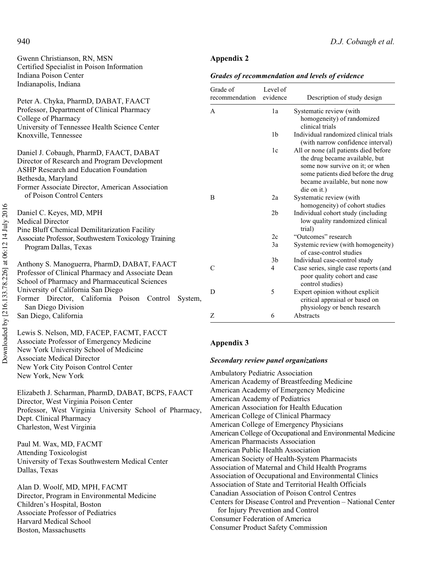Gwenn Christianson, RN, MSN Certified Specialist in Poison Information Indiana Poison Center Indianapolis, Indiana

Peter A. Chyka, PharmD, DABAT, FAACT Professor, Department of Clinical Pharmacy College of Pharmacy University of Tennessee Health Science Center Knoxville, Tennessee

Daniel J. Cobaugh, PharmD, FAACT, DABAT Director of Research and Program Development ASHP Research and Education Foundation Bethesda, Maryland Former Associate Director, American Association of Poison Control Centers

Daniel C. Keyes, MD, MPH Medical Director Pine Bluff Chemical Demilitarization Facility Associate Professor, Southwestern Toxicology Training Program Dallas, Texas Anthony S. Manoguerra, PharmD, DABAT, FAACT Professor of Clinical Pharmacy and Associate Dean School of Pharmacy and Pharmaceutical Sciences University of California San Diego Former Director, California Poison Control System San Diego Division San Diego, California

Lewis S. Nelson, MD, FACEP, FACMT, FACCT Associate Professor of Emergency Medicine New York University School of Medicine Associate Medical Director New York City Poison Control Center New York, New York

Elizabeth J. Scharman, PharmD, DABAT, BCPS, FAACT Director, West Virginia Poison Center Professor, West Virginia University School of Pharmacy, Dept. Clinical Pharmacy Charleston, West Virginia

Paul M. Wax, MD, FACMT Attending Toxicologist University of Texas Southwestern Medical Center Dallas, Texas

Alan D. Woolf, MD, MPH, FACMT Director, Program in Environmental Medicine Children's Hospital, Boston Associate Professor of Pediatrics Harvard Medical School Boston, Massachusetts

## **Appendix 2**

## *Grades of recommendation and levels of evidence*

| Grade of<br>recommendation | Level of<br>evidence | Description of study design                                                                                                                                                                       |
|----------------------------|----------------------|---------------------------------------------------------------------------------------------------------------------------------------------------------------------------------------------------|
| $\mathsf{A}$               | 1a                   | Systematic review (with<br>homogeneity) of randomized<br>clinical trials                                                                                                                          |
|                            | 1 <sub>b</sub>       | Individual randomized clinical trials<br>(with narrow confidence interval)                                                                                                                        |
|                            | 1c                   | All or none (all patients died before<br>the drug became available, but<br>some now survive on it; or when<br>some patients died before the drug<br>became available, but none now<br>die on it.) |
| B                          | 2a                   | Systematic review (with<br>homogeneity) of cohort studies                                                                                                                                         |
|                            | 2b                   | Individual cohort study (including<br>low quality randomized clinical<br>trial)                                                                                                                   |
|                            | 2c                   | "Outcomes" research                                                                                                                                                                               |
|                            | 3a                   | Systemic review (with homogeneity)<br>of case-control studies                                                                                                                                     |
|                            | 3b                   | Individual case-control study                                                                                                                                                                     |
| C                          | 4                    | Case series, single case reports (and<br>poor quality cohort and case<br>control studies)                                                                                                         |
| D                          | 5                    | Expert opinion without explicit<br>critical appraisal or based on<br>physiology or bench research                                                                                                 |
| Ζ                          | 6                    | Abstracts                                                                                                                                                                                         |

## **Appendix 3**

## *Secondary review panel organizations*

Ambulatory Pediatric Association American Academy of Breastfeeding Medicine American Academy of Emergency Medicine American Academy of Pediatrics American Association for Health Education American College of Clinical Pharmacy American College of Emergency Physicians American College of Occupational and Environmental Medicine American Pharmacists Association American Public Health Association American Society of Health-System Pharmacists Association of Maternal and Child Health Programs Association of Occupational and Environmental Clinics Association of State and Territorial Health Officials Canadian Association of Poison Control Centres Centers for Disease Control and Prevention – National Center for Injury Prevention and Control Consumer Federation of America Consumer Product Safety Commission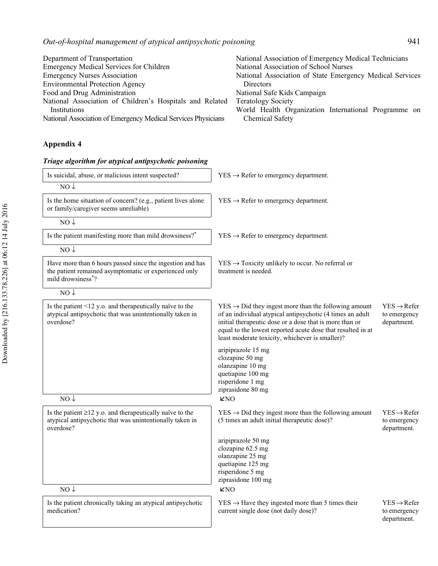| Department of Transportation                                  | National Association of Emergency Medical Technicians    |
|---------------------------------------------------------------|----------------------------------------------------------|
| <b>Emergency Medical Services for Children</b>                | National Association of School Nurses                    |
| <b>Emergency Nurses Association</b>                           | National Association of State Emergency Medical Services |
| <b>Environmental Protection Agency</b>                        | Directors                                                |
| Food and Drug Administration                                  | National Safe Kids Campaign                              |
| National Association of Children's Hospitals and Related      | <b>Teratology Society</b>                                |
| Institutions                                                  | World Health Organization International Programme on     |
| National Association of Emergency Medical Services Physicians | <b>Chemical Safety</b>                                   |
|                                                               |                                                          |

## **Appendix 4**

| Triage algorithm for atypical antipsychotic poisoning |  |  |  |  |  |  |  |
|-------------------------------------------------------|--|--|--|--|--|--|--|
|-------------------------------------------------------|--|--|--|--|--|--|--|

| Is suicidal, abuse, or malicious intent suspected?                                                                                                   | $YES \rightarrow Refer$ to emergency department.                                                                                                                                                                                                                                                           |                                                        |
|------------------------------------------------------------------------------------------------------------------------------------------------------|------------------------------------------------------------------------------------------------------------------------------------------------------------------------------------------------------------------------------------------------------------------------------------------------------------|--------------------------------------------------------|
| $NO \downarrow$                                                                                                                                      |                                                                                                                                                                                                                                                                                                            |                                                        |
| Is the home situation of concern? (e.g., patient lives alone<br>or family/caregiver seems unreliable)                                                | $YES \rightarrow Refer$ to emergency department.                                                                                                                                                                                                                                                           |                                                        |
| $NO \downarrow$                                                                                                                                      |                                                                                                                                                                                                                                                                                                            |                                                        |
| Is the patient manifesting more than mild drowsiness? <sup>*</sup>                                                                                   | $YES \rightarrow Refer$ to emergency department.                                                                                                                                                                                                                                                           |                                                        |
| $NO \downarrow$                                                                                                                                      |                                                                                                                                                                                                                                                                                                            |                                                        |
| Have more than 6 hours passed since the ingestion and has<br>the patient remained asymptomatic or experienced only<br>mild drowsiness <sup>*</sup> ? | $YES \rightarrow Toxicity$ unlikely to occur. No referral or<br>treatment is needed.                                                                                                                                                                                                                       |                                                        |
| $NO \downarrow$                                                                                                                                      |                                                                                                                                                                                                                                                                                                            |                                                        |
| Is the patient $\leq$ 12 y.o. and therapeutically naïve to the<br>atypical antipsychotic that was unintentionally taken in<br>overdose?              | $YES \rightarrow Did$ they ingest more than the following amount<br>of an individual atypical antipsychotic (4 times an adult<br>initial therapeutic dose or a dose that is more than or<br>equal to the lowest reported acute dose that resulted in at<br>least moderate toxicity, whichever is smaller)? | $YES \rightarrow Refer$<br>to emergency<br>department. |
|                                                                                                                                                      | aripiprazole 15 mg<br>clozapine 50 mg<br>olanzapine 10 mg<br>quetiapine 100 mg<br>risperidone 1 mg<br>ziprasidone 80 mg                                                                                                                                                                                    |                                                        |
| $NO \downarrow$                                                                                                                                      | $K$ <sub>NO</sub>                                                                                                                                                                                                                                                                                          |                                                        |
| Is the patient $\geq$ 12 y.o. and therapeutically naïve to the<br>atypical antipsychotic that was unintentionally taken in<br>overdose?              | $YES \rightarrow Did$ they ingest more than the following amount<br>(5 times an adult initial therapeutic dose)?                                                                                                                                                                                           | $YES \rightarrow Refer$<br>to emergency<br>department. |
|                                                                                                                                                      | aripiprazole 50 mg<br>clozapine 62.5 mg<br>olanzapine 25 mg<br>quetiapine 125 mg<br>risperidone 5 mg<br>ziprasidone 100 mg                                                                                                                                                                                 |                                                        |
| $NO \downarrow$                                                                                                                                      | KNO                                                                                                                                                                                                                                                                                                        |                                                        |
| Is the patient chronically taking an atypical antipsychotic<br>medication?                                                                           | $YES \rightarrow Have$ they ingested more than 5 times their<br>current single dose (not daily dose)?                                                                                                                                                                                                      | $YES \rightarrow Refer$<br>to emergency<br>department. |